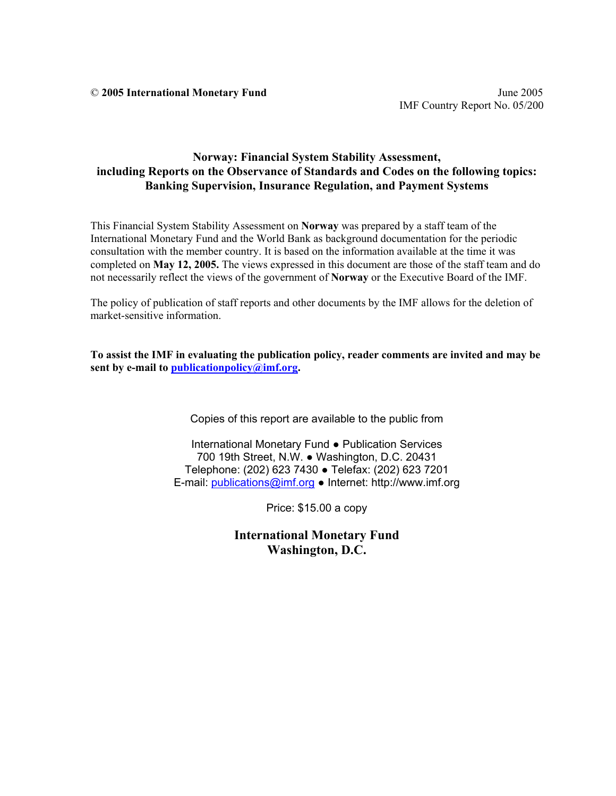## **Norway: Financial System Stability Assessment, including Reports on the Observance of Standards and Codes on the following topics: Banking Supervision, Insurance Regulation, and Payment Systems**

This Financial System Stability Assessment on **Norway** was prepared by a staff team of the International Monetary Fund and the World Bank as background documentation for the periodic consultation with the member country. It is based on the information available at the time it was completed on **May 12, 2005.** The views expressed in this document are those of the staff team and do not necessarily reflect the views of the government of **Norway** or the Executive Board of the IMF.

The policy of publication of staff reports and other documents by the IMF allows for the deletion of market-sensitive information.

**To assist the IMF in evaluating the publication policy, reader comments are invited and may be sent by e-mail to publicationpolicy@imf.org.** 

Copies of this report are available to the public from

International Monetary Fund ● Publication Services 700 19th Street, N.W. ● Washington, D.C. 20431 Telephone: (202) 623 7430 ● Telefax: (202) 623 7201 E-mail: publications@imf.org ● Internet: http://www.imf.org

Price: \$15.00 a copy

**International Monetary Fund Washington, D.C.**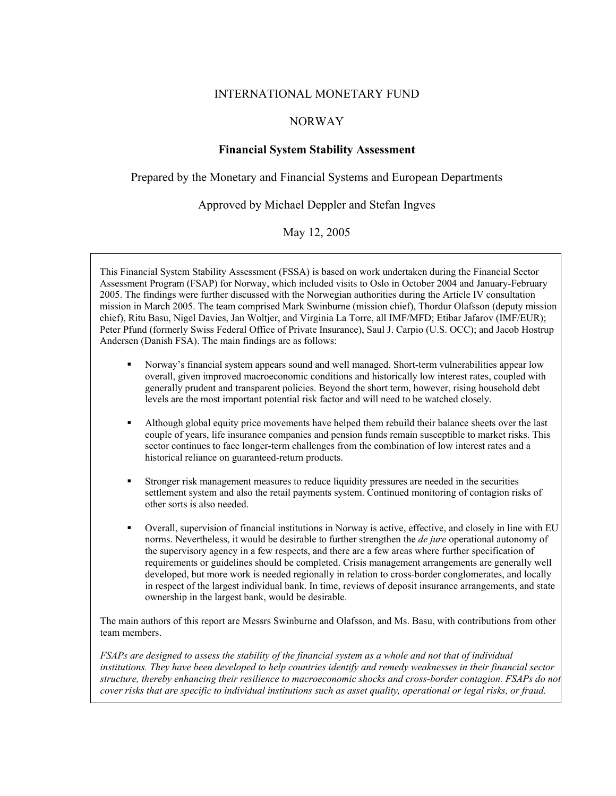#### INTERNATIONAL MONETARY FUND

#### NORWAY

#### **Financial System Stability Assessment**

Prepared by the Monetary and Financial Systems and European Departments

Approved by Michael Deppler and Stefan Ingves

May 12, 2005

This Financial System Stability Assessment (FSSA) is based on work undertaken during the Financial Sector Assessment Program (FSAP) for Norway, which included visits to Oslo in October 2004 and January-February 2005. The findings were further discussed with the Norwegian authorities during the Article IV consultation mission in March 2005. The team comprised Mark Swinburne (mission chief), Thordur Olafsson (deputy mission chief), Ritu Basu, Nigel Davies, Jan Woltjer, and Virginia La Torre, all IMF/MFD; Etibar Jafarov (IMF/EUR); Peter Pfund (formerly Swiss Federal Office of Private Insurance), Saul J. Carpio (U.S. OCC); and Jacob Hostrup Andersen (Danish FSA). The main findings are as follows:

- Norway's financial system appears sound and well managed. Short-term vulnerabilities appear low overall, given improved macroeconomic conditions and historically low interest rates, coupled with generally prudent and transparent policies. Beyond the short term, however, rising household debt levels are the most important potential risk factor and will need to be watched closely.
- Although global equity price movements have helped them rebuild their balance sheets over the last couple of years, life insurance companies and pension funds remain susceptible to market risks. This sector continues to face longer-term challenges from the combination of low interest rates and a historical reliance on guaranteed-return products.
- Stronger risk management measures to reduce liquidity pressures are needed in the securities settlement system and also the retail payments system. Continued monitoring of contagion risks of other sorts is also needed.
- Overall, supervision of financial institutions in Norway is active, effective, and closely in line with EU norms. Nevertheless, it would be desirable to further strengthen the *de jure* operational autonomy of the supervisory agency in a few respects, and there are a few areas where further specification of requirements or guidelines should be completed. Crisis management arrangements are generally well developed, but more work is needed regionally in relation to cross-border conglomerates, and locally in respect of the largest individual bank. In time, reviews of deposit insurance arrangements, and state ownership in the largest bank, would be desirable.

The main authors of this report are Messrs Swinburne and Olafsson, and Ms. Basu, with contributions from other team members.

*FSAPs are designed to assess the stability of the financial system as a whole and not that of individual institutions. They have been developed to help countries identify and remedy weaknesses in their financial sector structure, thereby enhancing their resilience to macroeconomic shocks and cross-border contagion. FSAPs do not cover risks that are specific to individual institutions such as asset quality, operational or legal risks, or fraud.*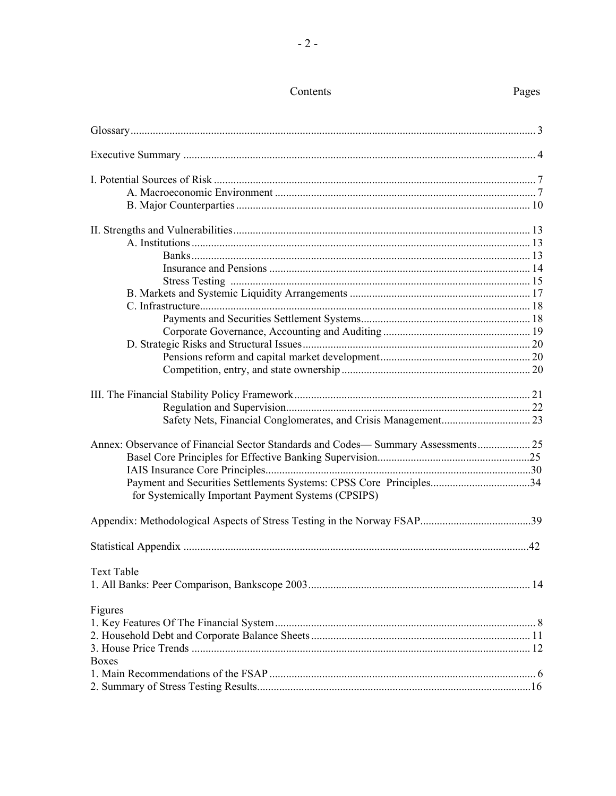# Contents

| Annex: Observance of Financial Sector Standards and Codes-Summary Assessments 25 |  |
|----------------------------------------------------------------------------------|--|
|                                                                                  |  |
|                                                                                  |  |
| Payment and Securities Settlements Systems: CPSS Core Principles34               |  |
| for Systemically Important Payment Systems (CPSIPS)                              |  |
|                                                                                  |  |
|                                                                                  |  |
| <b>Text Table</b>                                                                |  |
|                                                                                  |  |
| Figures                                                                          |  |
|                                                                                  |  |
|                                                                                  |  |
|                                                                                  |  |
| <b>Boxes</b>                                                                     |  |
|                                                                                  |  |
|                                                                                  |  |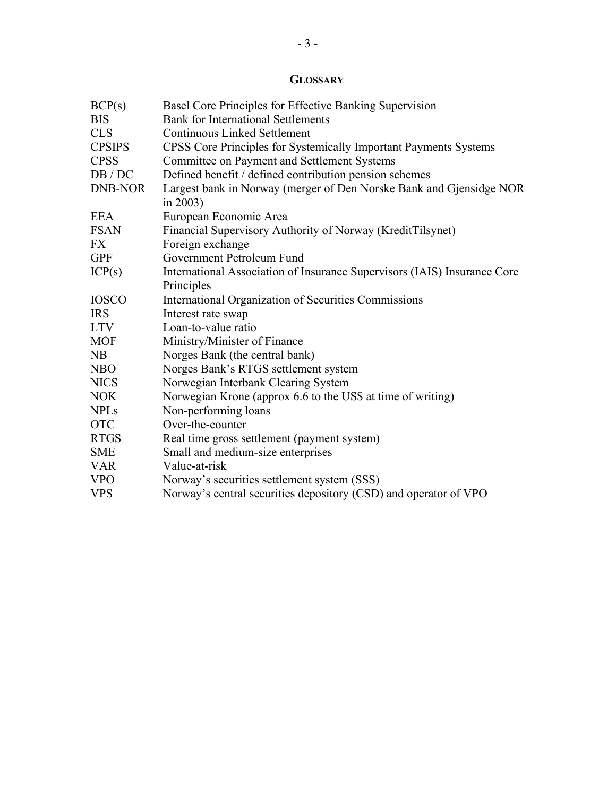# **GLOSSARY**

| BCP(s)        | Basel Core Principles for Effective Banking Supervision                            |
|---------------|------------------------------------------------------------------------------------|
| <b>BIS</b>    | <b>Bank for International Settlements</b>                                          |
| <b>CLS</b>    | <b>Continuous Linked Settlement</b>                                                |
| <b>CPSIPS</b> | CPSS Core Principles for Systemically Important Payments Systems                   |
| <b>CPSS</b>   | Committee on Payment and Settlement Systems                                        |
| DB/DC         | Defined benefit / defined contribution pension schemes                             |
| DNB-NOR       | Largest bank in Norway (merger of Den Norske Bank and Gjensidge NOR<br>in $2003$ ) |
| <b>EEA</b>    | European Economic Area                                                             |
| <b>FSAN</b>   | Financial Supervisory Authority of Norway (KreditTilsynet)                         |
| <b>FX</b>     | Foreign exchange                                                                   |
| <b>GPF</b>    | Government Petroleum Fund                                                          |
| ICP(s)        | International Association of Insurance Supervisors (IAIS) Insurance Core           |
|               | Principles                                                                         |
| <b>IOSCO</b>  | International Organization of Securities Commissions                               |
| <b>IRS</b>    | Interest rate swap                                                                 |
| <b>LTV</b>    | Loan-to-value ratio                                                                |
| <b>MOF</b>    | Ministry/Minister of Finance                                                       |
| NB            | Norges Bank (the central bank)                                                     |
| <b>NBO</b>    | Norges Bank's RTGS settlement system                                               |
| <b>NICS</b>   | Norwegian Interbank Clearing System                                                |
| <b>NOK</b>    | Norwegian Krone (approx 6.6 to the US\$ at time of writing)                        |
| <b>NPLs</b>   | Non-performing loans                                                               |
| <b>OTC</b>    | Over-the-counter                                                                   |
| <b>RTGS</b>   | Real time gross settlement (payment system)                                        |
| <b>SME</b>    | Small and medium-size enterprises                                                  |
| <b>VAR</b>    | Value-at-risk                                                                      |
| <b>VPO</b>    | Norway's securities settlement system (SSS)                                        |
| <b>VPS</b>    | Norway's central securities depository (CSD) and operator of VPO                   |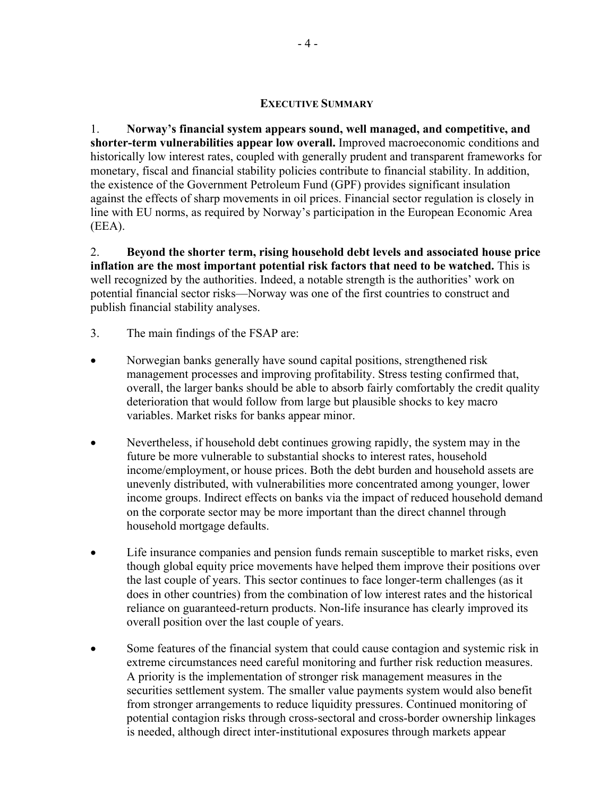#### **EXECUTIVE SUMMARY**

1. **Norway's financial system appears sound, well managed, and competitive, and shorter-term vulnerabilities appear low overall.** Improved macroeconomic conditions and historically low interest rates, coupled with generally prudent and transparent frameworks for monetary, fiscal and financial stability policies contribute to financial stability. In addition, the existence of the Government Petroleum Fund (GPF) provides significant insulation against the effects of sharp movements in oil prices. Financial sector regulation is closely in line with EU norms, as required by Norway's participation in the European Economic Area (EEA).

2. **Beyond the shorter term, rising household debt levels and associated house price inflation are the most important potential risk factors that need to be watched.** This is well recognized by the authorities. Indeed, a notable strength is the authorities' work on potential financial sector risks—Norway was one of the first countries to construct and publish financial stability analyses.

- 3. The main findings of the FSAP are:
- Norwegian banks generally have sound capital positions, strengthened risk management processes and improving profitability. Stress testing confirmed that, overall, the larger banks should be able to absorb fairly comfortably the credit quality deterioration that would follow from large but plausible shocks to key macro variables. Market risks for banks appear minor.
- Nevertheless, if household debt continues growing rapidly, the system may in the future be more vulnerable to substantial shocks to interest rates, household income/employment, or house prices. Both the debt burden and household assets are unevenly distributed, with vulnerabilities more concentrated among younger, lower income groups. Indirect effects on banks via the impact of reduced household demand on the corporate sector may be more important than the direct channel through household mortgage defaults.
- Life insurance companies and pension funds remain susceptible to market risks, even though global equity price movements have helped them improve their positions over the last couple of years. This sector continues to face longer-term challenges (as it does in other countries) from the combination of low interest rates and the historical reliance on guaranteed-return products. Non-life insurance has clearly improved its overall position over the last couple of years.
- Some features of the financial system that could cause contagion and systemic risk in extreme circumstances need careful monitoring and further risk reduction measures. A priority is the implementation of stronger risk management measures in the securities settlement system. The smaller value payments system would also benefit from stronger arrangements to reduce liquidity pressures. Continued monitoring of potential contagion risks through cross-sectoral and cross-border ownership linkages is needed, although direct inter-institutional exposures through markets appear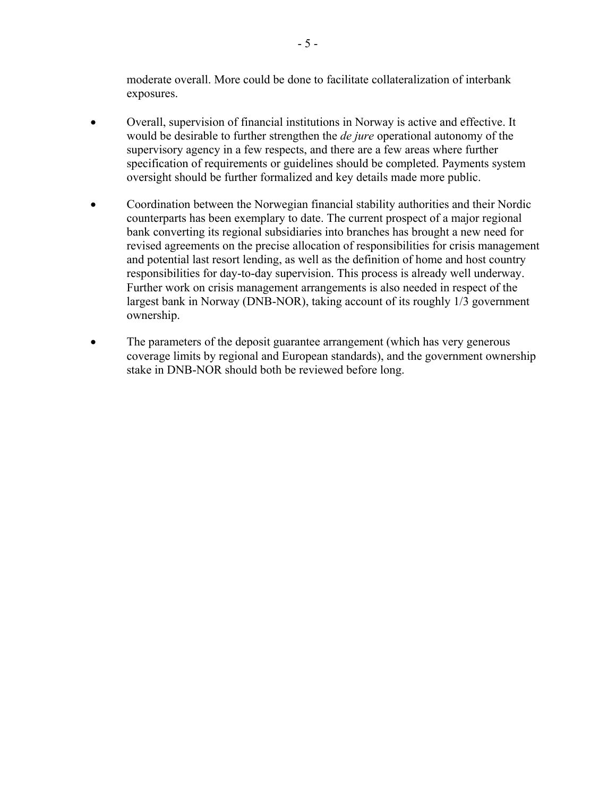moderate overall. More could be done to facilitate collateralization of interbank exposures.

- Overall, supervision of financial institutions in Norway is active and effective. It would be desirable to further strengthen the *de jure* operational autonomy of the supervisory agency in a few respects, and there are a few areas where further specification of requirements or guidelines should be completed. Payments system oversight should be further formalized and key details made more public.
- Coordination between the Norwegian financial stability authorities and their Nordic counterparts has been exemplary to date. The current prospect of a major regional bank converting its regional subsidiaries into branches has brought a new need for revised agreements on the precise allocation of responsibilities for crisis management and potential last resort lending, as well as the definition of home and host country responsibilities for day-to-day supervision. This process is already well underway. Further work on crisis management arrangements is also needed in respect of the largest bank in Norway (DNB-NOR), taking account of its roughly 1/3 government ownership.
- The parameters of the deposit guarantee arrangement (which has very generous coverage limits by regional and European standards), and the government ownership stake in DNB-NOR should both be reviewed before long.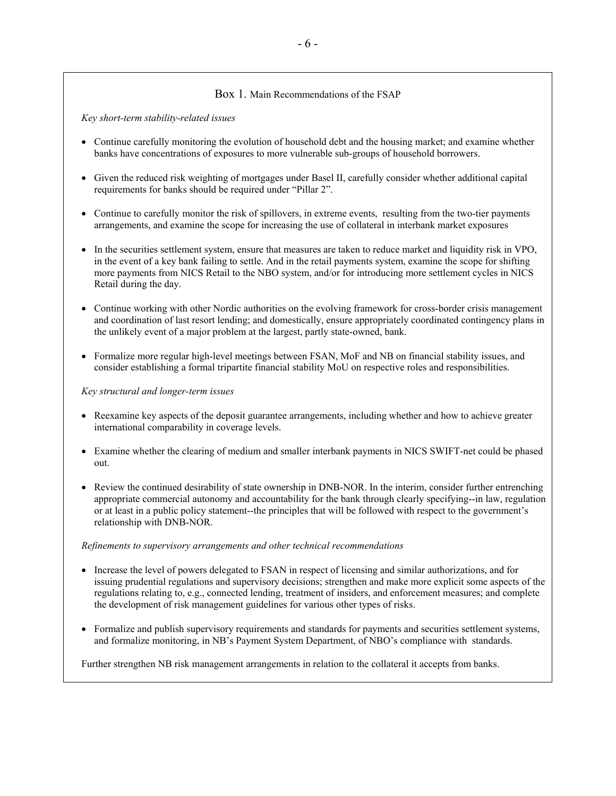#### Box 1. Main Recommendations of the FSAP

*Key short-term stability-related issues* 

- Continue carefully monitoring the evolution of household debt and the housing market; and examine whether banks have concentrations of exposures to more vulnerable sub-groups of household borrowers.
- Given the reduced risk weighting of mortgages under Basel II, carefully consider whether additional capital requirements for banks should be required under "Pillar 2".
- Continue to carefully monitor the risk of spillovers, in extreme events, resulting from the two-tier payments arrangements, and examine the scope for increasing the use of collateral in interbank market exposures
- In the securities settlement system, ensure that measures are taken to reduce market and liquidity risk in VPO, in the event of a key bank failing to settle. And in the retail payments system, examine the scope for shifting more payments from NICS Retail to the NBO system, and/or for introducing more settlement cycles in NICS Retail during the day.
- Continue working with other Nordic authorities on the evolving framework for cross-border crisis management and coordination of last resort lending; and domestically, ensure appropriately coordinated contingency plans in the unlikely event of a major problem at the largest, partly state-owned, bank.
- Formalize more regular high-level meetings between FSAN, MoF and NB on financial stability issues, and consider establishing a formal tripartite financial stability MoU on respective roles and responsibilities.

#### *Key structural and longer-term issues*

- Reexamine key aspects of the deposit guarantee arrangements, including whether and how to achieve greater international comparability in coverage levels.
- Examine whether the clearing of medium and smaller interbank payments in NICS SWIFT-net could be phased out.
- Review the continued desirability of state ownership in DNB-NOR. In the interim, consider further entrenching appropriate commercial autonomy and accountability for the bank through clearly specifying--in law, regulation or at least in a public policy statement--the principles that will be followed with respect to the government's relationship with DNB-NOR.

#### *Refinements to supervisory arrangements and other technical recommendations*

- Increase the level of powers delegated to FSAN in respect of licensing and similar authorizations, and for issuing prudential regulations and supervisory decisions; strengthen and make more explicit some aspects of the regulations relating to, e.g., connected lending, treatment of insiders, and enforcement measures; and complete the development of risk management guidelines for various other types of risks.
- Formalize and publish supervisory requirements and standards for payments and securities settlement systems, and formalize monitoring, in NB's Payment System Department, of NBO's compliance with standards.

Further strengthen NB risk management arrangements in relation to the collateral it accepts from banks.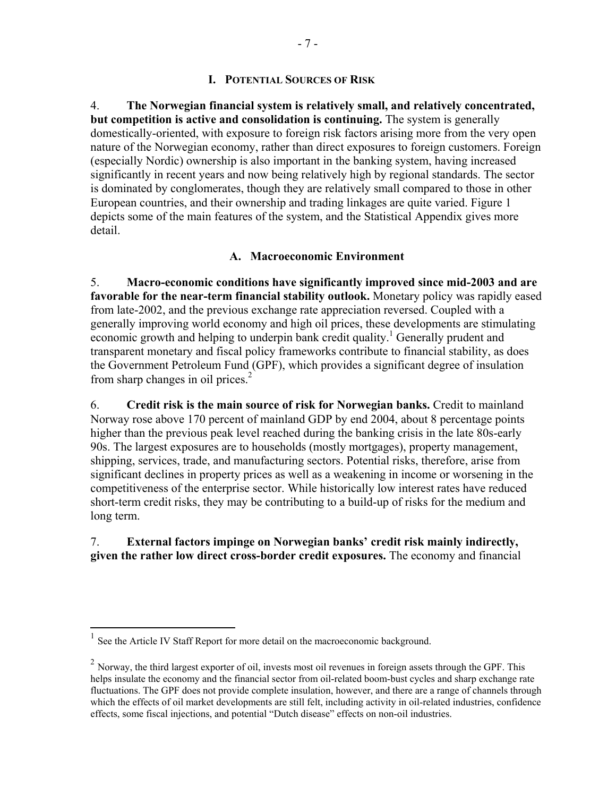#### **I. POTENTIAL SOURCES OF RISK**

4. **The Norwegian financial system is relatively small, and relatively concentrated, but competition is active and consolidation is continuing.** The system is generally domestically-oriented, with exposure to foreign risk factors arising more from the very open nature of the Norwegian economy, rather than direct exposures to foreign customers. Foreign (especially Nordic) ownership is also important in the banking system, having increased significantly in recent years and now being relatively high by regional standards. The sector is dominated by conglomerates, though they are relatively small compared to those in other European countries, and their ownership and trading linkages are quite varied. Figure 1 depicts some of the main features of the system, and the Statistical Appendix gives more detail.

#### **A. Macroeconomic Environment**

5. **Macro-economic conditions have significantly improved since mid-2003 and are favorable for the near-term financial stability outlook.** Monetary policy was rapidly eased from late-2002, and the previous exchange rate appreciation reversed. Coupled with a generally improving world economy and high oil prices, these developments are stimulating economic growth and helping to underpin bank credit quality.<sup>1</sup> Generally prudent and transparent monetary and fiscal policy frameworks contribute to financial stability, as does the Government Petroleum Fund (GPF), which provides a significant degree of insulation from sharp changes in oil prices. $<sup>2</sup>$ </sup>

6. **Credit risk is the main source of risk for Norwegian banks.** Credit to mainland Norway rose above 170 percent of mainland GDP by end 2004, about 8 percentage points higher than the previous peak level reached during the banking crisis in the late 80s-early 90s. The largest exposures are to households (mostly mortgages), property management, shipping, services, trade, and manufacturing sectors. Potential risks, therefore, arise from significant declines in property prices as well as a weakening in income or worsening in the competitiveness of the enterprise sector. While historically low interest rates have reduced short-term credit risks, they may be contributing to a build-up of risks for the medium and long term.

## 7. **External factors impinge on Norwegian banks' credit risk mainly indirectly, given the rather low direct cross-border credit exposures.** The economy and financial

 $\overline{a}$ 

 $<sup>1</sup>$  See the Article IV Staff Report for more detail on the macroeconomic background.</sup>

 $^{2}$  Norway, the third largest exporter of oil, invests most oil revenues in foreign assets through the GPF. This helps insulate the economy and the financial sector from oil-related boom-bust cycles and sharp exchange rate fluctuations. The GPF does not provide complete insulation, however, and there are a range of channels through which the effects of oil market developments are still felt, including activity in oil-related industries, confidence effects, some fiscal injections, and potential "Dutch disease" effects on non-oil industries.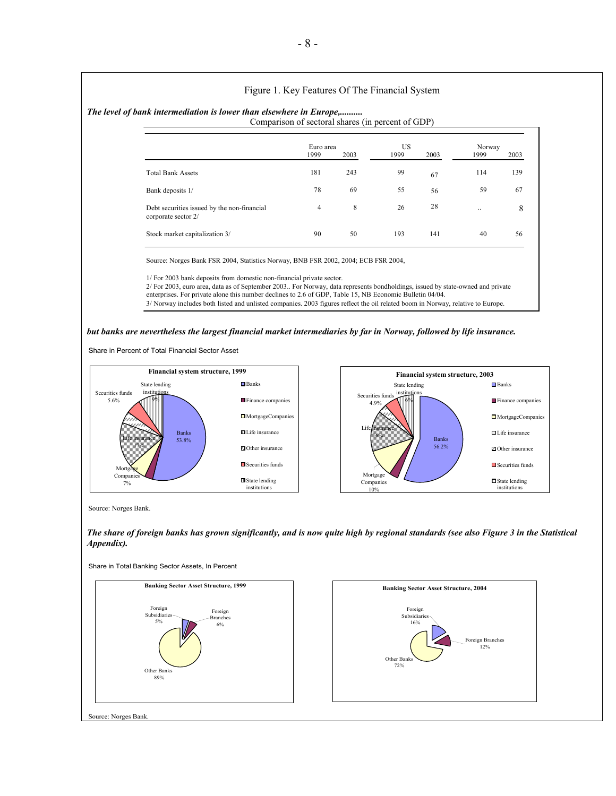#### Figure 1. Key Features Of The Financial System

#### *The level of bank intermediation is lower than elsewhere in Europe,..........*

Comparison of sectoral shares (in percent of GDP)

|                                                                    | Euro area |      | <b>US</b> |      | Norway    |      |
|--------------------------------------------------------------------|-----------|------|-----------|------|-----------|------|
|                                                                    | 1999      | 2003 | 1999      | 2003 | 1999      | 2003 |
| <b>Total Bank Assets</b>                                           | 181       | 243  | 99        | 67   | 114       | 139  |
| Bank deposits 1/                                                   | 78        | 69   | 55        | 56   | 59        | 67   |
| Debt securities issued by the non-financial<br>corporate sector 2/ | 4         | 8    | 26        | 28   | $\cdot$ . | 8    |
| Stock market capitalization 3/                                     | 90        | 50   | 193       | 141  | 40        | 56   |

Source: Norges Bank FSR 2004, Statistics Norway, BNB FSR 2002, 2004; ECB FSR 2004,

1/ For 2003 bank deposits from domestic non-financial private sector.

2/ For 2003, euro area, data as of September 2003.. For Norway, data represents bondholdings, issued by state-owned and private enterprises. For private alone this number declines to 2.6 of GDP, Table 15, NB Economic Bulletin 04/04. 3/ Norway includes both listed and unlisted companies. 2003 figures reflect the oil related boom in Norway, relative to Europe.

#### *but banks are nevertheless the largest financial market intermediaries by far in Norway, followed by life insurance.*

Share in Percent of Total Financial Sector Asset



Source: Norges Bank.









Source: Norges Bank.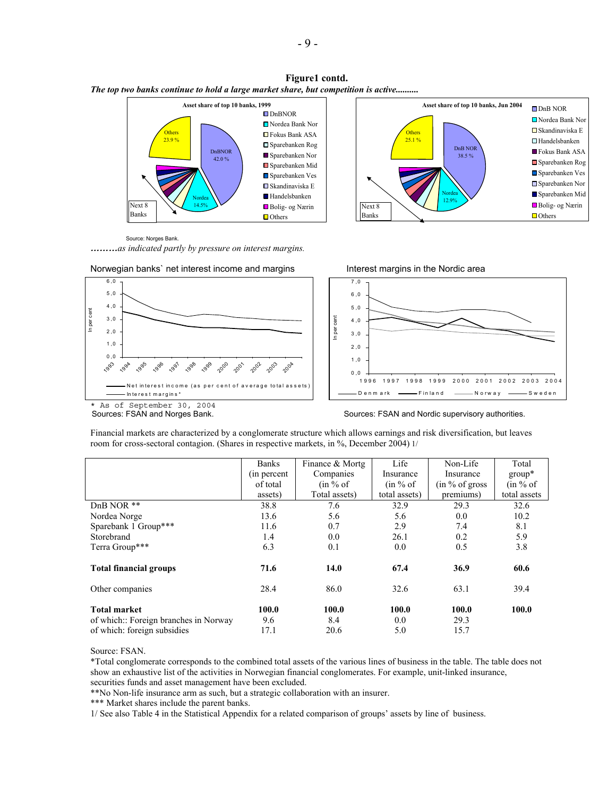**Figure1 contd.**  *The top two banks continue to hold a large market share, but competition is active..........* 





Source: Norges Bank.

*………as indicated partly by pressure on interest margins.* 







\* As of September 30, 2004

Sources: FSAN and Nordic supervisory authorities.

Financial markets are characterized by a conglomerate structure which allows earnings and risk diversification, but leaves room for cross-sectoral contagion. (Shares in respective markets, in %, December 2004) 1/

|                                      | <b>Banks</b> | Finance & Mortg | Life          | Non-Life        | Total        |
|--------------------------------------|--------------|-----------------|---------------|-----------------|--------------|
|                                      | (in percent) | Companies       | Insurance     | Insurance       | $group^*$    |
|                                      | of total     | (in % of        | (in % of      | (in % of gross) | (in % of     |
|                                      | assets)      | Total assets)   | total assets) | premiums)       | total assets |
| DnB NOR **                           | 38.8         | 7.6             | 32.9          | 29.3            | 32.6         |
| Nordea Norge                         | 13.6         | 5.6             | 5.6           | 0.0             | 10.2         |
| Sparebank 1 Group***                 | 11.6         | 0.7             | 2.9           | 7.4             | 8.1          |
| Storebrand                           | 1.4          | 0.0             | 26.1          | 0.2             | 5.9          |
| Terra Group***                       | 6.3          | 0.1             | 0.0           | 0.5             | 3.8          |
| <b>Total financial groups</b>        | 71.6         | 14.0            | 67.4          | 36.9            | 60.6         |
| Other companies                      | 28.4         | 86.0            | 32.6          | 63.1            | 39.4         |
| <b>Total market</b>                  | 100.0        | 100.0           | 100.0         | 100.0           | 100.0        |
| of which: Foreign branches in Norway | 9.6          | 8.4             | 0.0           | 29.3            |              |
| of which: foreign subsidies          | 17.1         | 20.6            | 5.0           | 15.7            |              |

Source: FSAN.

\*Total conglomerate corresponds to the combined total assets of the various lines of business in the table. The table does not show an exhaustive list of the activities in Norwegian financial conglomerates. For example, unit-linked insurance, securities funds and asset management have been excluded.

\*\*No Non-life insurance arm as such, but a strategic collaboration with an insurer.

\*\*\* Market shares include the parent banks.

1/ See also Table 4 in the Statistical Appendix for a related comparison of groups' assets by line of business.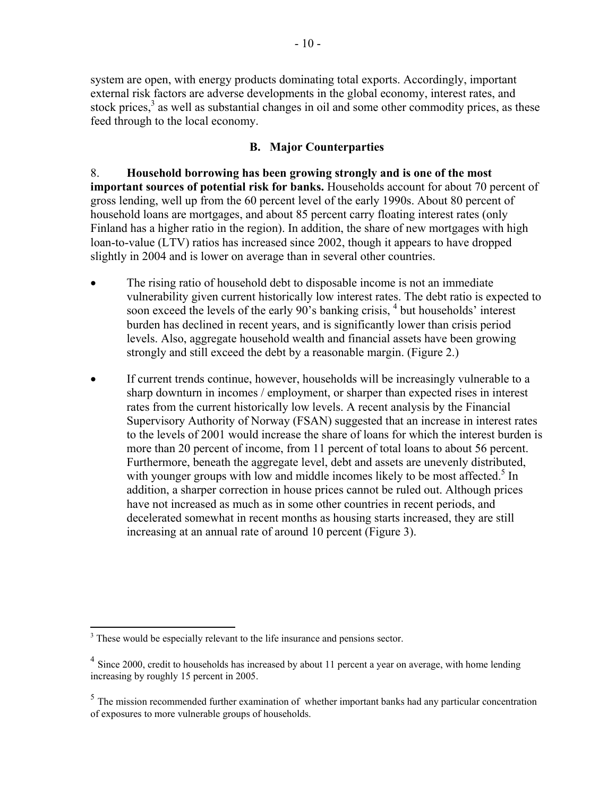system are open, with energy products dominating total exports. Accordingly, important external risk factors are adverse developments in the global economy, interest rates, and stock prices,<sup>3</sup> as well as substantial changes in oil and some other commodity prices, as these feed through to the local economy.

## **B. Major Counterparties**

8. **Household borrowing has been growing strongly and is one of the most important sources of potential risk for banks.** Households account for about 70 percent of gross lending, well up from the 60 percent level of the early 1990s. About 80 percent of household loans are mortgages, and about 85 percent carry floating interest rates (only Finland has a higher ratio in the region). In addition, the share of new mortgages with high loan-to-value (LTV) ratios has increased since 2002, though it appears to have dropped slightly in 2004 and is lower on average than in several other countries.

- The rising ratio of household debt to disposable income is not an immediate vulnerability given current historically low interest rates. The debt ratio is expected to soon exceed the levels of the early 90's banking crisis, <sup>4</sup> but households' interest burden has declined in recent years, and is significantly lower than crisis period levels. Also, aggregate household wealth and financial assets have been growing strongly and still exceed the debt by a reasonable margin. (Figure 2.)
- If current trends continue, however, households will be increasingly vulnerable to a sharp downturn in incomes / employment, or sharper than expected rises in interest rates from the current historically low levels. A recent analysis by the Financial Supervisory Authority of Norway (FSAN) suggested that an increase in interest rates to the levels of 2001 would increase the share of loans for which the interest burden is more than 20 percent of income, from 11 percent of total loans to about 56 percent. Furthermore, beneath the aggregate level, debt and assets are unevenly distributed, with younger groups with low and middle incomes likely to be most affected.<sup>5</sup> In addition, a sharper correction in house prices cannot be ruled out. Although prices have not increased as much as in some other countries in recent periods, and decelerated somewhat in recent months as housing starts increased, they are still increasing at an annual rate of around 10 percent (Figure 3).

<sup>&</sup>lt;sup>3</sup> These would be especially relevant to the life insurance and pensions sector.

<sup>&</sup>lt;sup>4</sup> Since 2000, credit to households has increased by about 11 percent a year on average, with home lending increasing by roughly 15 percent in 2005.

 $<sup>5</sup>$  The mission recommended further examination of whether important banks had any particular concentration</sup> of exposures to more vulnerable groups of households.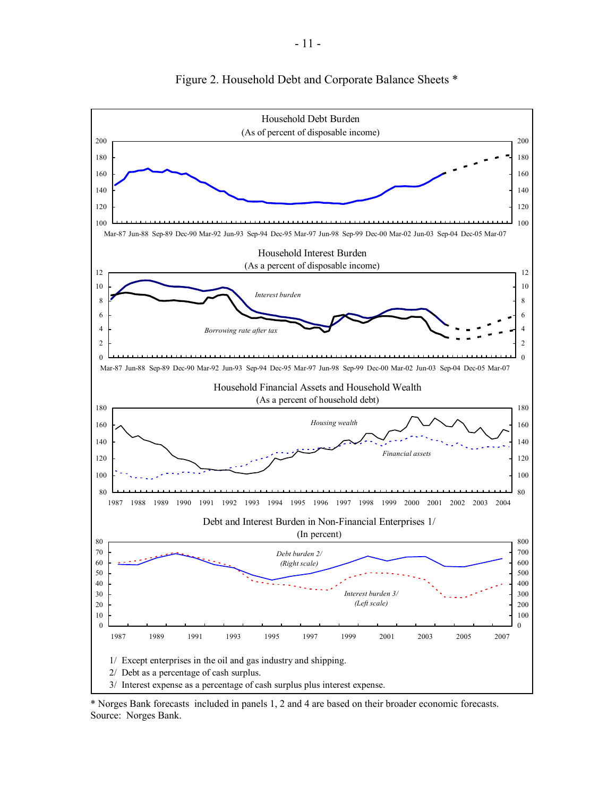

Figure 2. Household Debt and Corporate Balance Sheets \*

\* Norges Bank forecasts included in panels 1, 2 and 4 are based on their broader economic forecasts. Source: Norges Bank.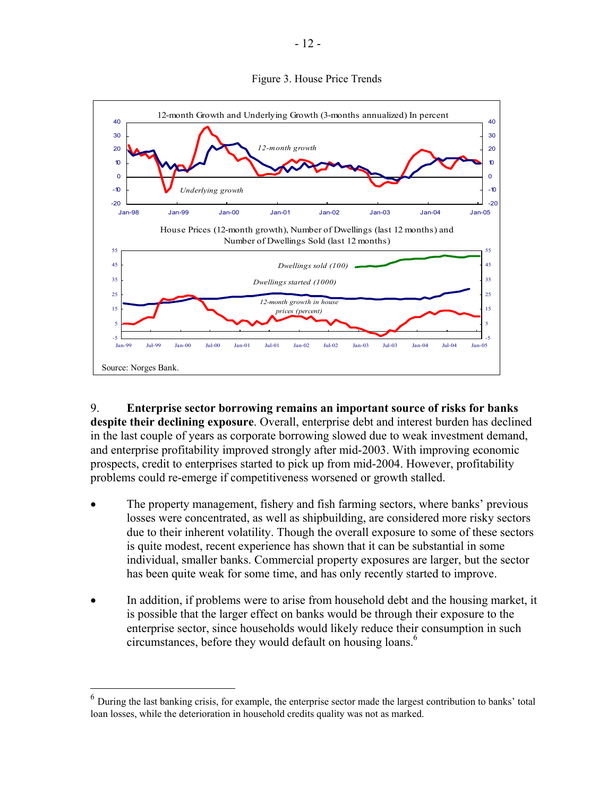



9. **Enterprise sector borrowing remains an important source of risks for banks despite their declining exposure**. Overall, enterprise debt and interest burden has declined in the last couple of years as corporate borrowing slowed due to weak investment demand, and enterprise profitability improved strongly after mid-2003. With improving economic prospects, credit to enterprises started to pick up from mid-2004. However, profitability problems could re-emerge if competitiveness worsened or growth stalled.

- The property management, fishery and fish farming sectors, where banks' previous losses were concentrated, as well as shipbuilding, are considered more risky sectors due to their inherent volatility. Though the overall exposure to some of these sectors is quite modest, recent experience has shown that it can be substantial in some individual, smaller banks. Commercial property exposures are larger, but the sector has been quite weak for some time, and has only recently started to improve.
- In addition, if problems were to arise from household debt and the housing market, it is possible that the larger effect on banks would be through their exposure to the enterprise sector, since households would likely reduce their consumption in such circumstances, before they would default on housing loans.<sup>6</sup>

<u>.</u>

 $6$  During the last banking crisis, for example, the enterprise sector made the largest contribution to banks' total loan losses, while the deterioration in household credits quality was not as marked.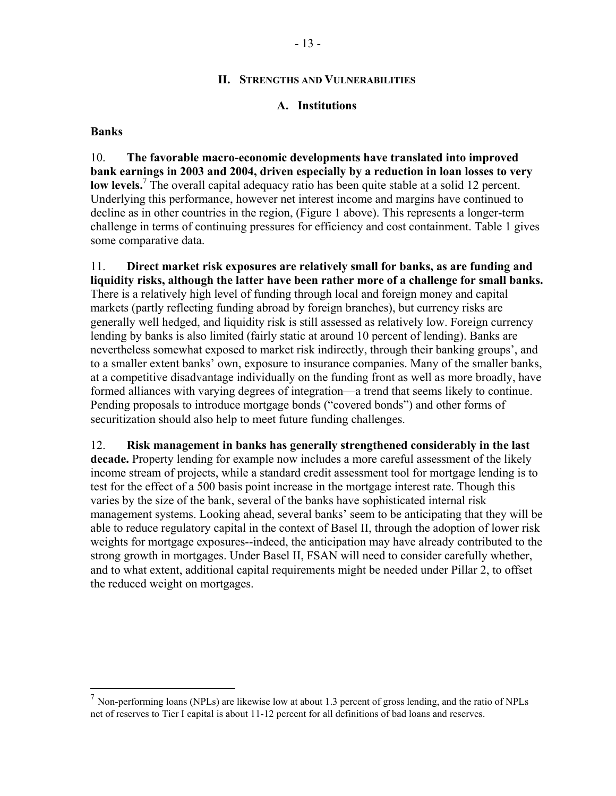#### **II. STRENGTHS AND VULNERABILITIES**

#### **A. Institutions**

#### **Banks**

 $\overline{a}$ 

10. **The favorable macro-economic developments have translated into improved bank earnings in 2003 and 2004, driven especially by a reduction in loan losses to very**  low levels.<sup>7</sup> The overall capital adequacy ratio has been quite stable at a solid 12 percent. Underlying this performance, however net interest income and margins have continued to decline as in other countries in the region, (Figure 1 above). This represents a longer-term challenge in terms of continuing pressures for efficiency and cost containment. Table 1 gives some comparative data.

11. **Direct market risk exposures are relatively small for banks, as are funding and liquidity risks, although the latter have been rather more of a challenge for small banks.** There is a relatively high level of funding through local and foreign money and capital markets (partly reflecting funding abroad by foreign branches), but currency risks are generally well hedged, and liquidity risk is still assessed as relatively low. Foreign currency lending by banks is also limited (fairly static at around 10 percent of lending). Banks are nevertheless somewhat exposed to market risk indirectly, through their banking groups', and to a smaller extent banks' own, exposure to insurance companies. Many of the smaller banks, at a competitive disadvantage individually on the funding front as well as more broadly, have formed alliances with varying degrees of integration—a trend that seems likely to continue. Pending proposals to introduce mortgage bonds ("covered bonds") and other forms of securitization should also help to meet future funding challenges.

12. **Risk management in banks has generally strengthened considerably in the last decade.** Property lending for example now includes a more careful assessment of the likely income stream of projects, while a standard credit assessment tool for mortgage lending is to test for the effect of a 500 basis point increase in the mortgage interest rate. Though this varies by the size of the bank, several of the banks have sophisticated internal risk management systems. Looking ahead, several banks' seem to be anticipating that they will be able to reduce regulatory capital in the context of Basel II, through the adoption of lower risk weights for mortgage exposures--indeed, the anticipation may have already contributed to the strong growth in mortgages. Under Basel II, FSAN will need to consider carefully whether, and to what extent, additional capital requirements might be needed under Pillar 2, to offset the reduced weight on mortgages.

 $^7$  Non-performing loans (NPLs) are likewise low at about 1.3 percent of gross lending, and the ratio of NPLs net of reserves to Tier I capital is about 11-12 percent for all definitions of bad loans and reserves.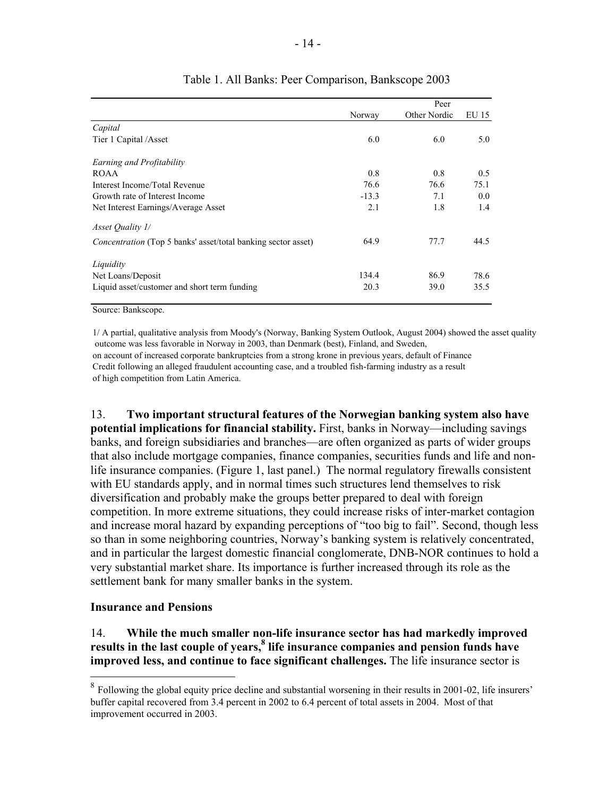|                                                                      |         | Peer         |       |
|----------------------------------------------------------------------|---------|--------------|-------|
|                                                                      | Norway  | Other Nordic | EU 15 |
| Capital                                                              |         |              |       |
| Tier 1 Capital /Asset                                                | 6.0     | 6.0          | 5.0   |
| Earning and Profitability                                            |         |              |       |
| <b>ROAA</b>                                                          | 0.8     | 0.8          | 0.5   |
| Interest Income/Total Revenue                                        | 76.6    | 76.6         | 75.1  |
| Growth rate of Interest Income                                       | $-13.3$ | 7.1          | 0.0   |
| Net Interest Earnings/Average Asset                                  | 2.1     | 1.8          | 1.4   |
| Asset Quality 1/                                                     |         |              |       |
| <i>Concentration</i> (Top 5 banks' asset/total banking sector asset) | 64.9    | 77.7         | 44.5  |
| Liquidity                                                            |         |              |       |
| Net Loans/Deposit                                                    | 134.4   | 86.9         | 78.6  |
| Liquid asset/customer and short term funding                         | 20.3    | 39.0         | 35.5  |

#### Table 1. All Banks: Peer Comparison, Bankscope 2003

Source: Bankscope.

1/ A partial, qualitative analysis from Moody's (Norway, Banking System Outlook, August 2004) showed the asset quality outcome was less favorable in Norway in 2003, than Denmark (best), Finland, and Sweden, on account of increased corporate bankruptcies from a strong krone in previous years, default of Finance Credit following an alleged fraudulent accounting case, and a troubled fish-farming industry as a result of high competition from Latin America.

13. **Two important structural features of the Norwegian banking system also have potential implications for financial stability.** First, banks in Norway—including savings banks, and foreign subsidiaries and branches—are often organized as parts of wider groups that also include mortgage companies, finance companies, securities funds and life and nonlife insurance companies. (Figure 1, last panel.) The normal regulatory firewalls consistent with EU standards apply, and in normal times such structures lend themselves to risk diversification and probably make the groups better prepared to deal with foreign competition. In more extreme situations, they could increase risks of inter-market contagion and increase moral hazard by expanding perceptions of "too big to fail". Second, though less so than in some neighboring countries, Norway's banking system is relatively concentrated, and in particular the largest domestic financial conglomerate, DNB-NOR continues to hold a very substantial market share. Its importance is further increased through its role as the settlement bank for many smaller banks in the system.

#### **Insurance and Pensions**

 $\overline{a}$ 

14. **While the much smaller non-life insurance sector has had markedly improved**  results in the last couple of years,<sup>8</sup> life insurance companies and pension funds have **improved less, and continue to face significant challenges.** The life insurance sector is

<sup>&</sup>lt;sup>8</sup> Following the global equity price decline and substantial worsening in their results in 2001-02, life insurers' buffer capital recovered from 3.4 percent in 2002 to 6.4 percent of total assets in 2004. Most of that improvement occurred in 2003.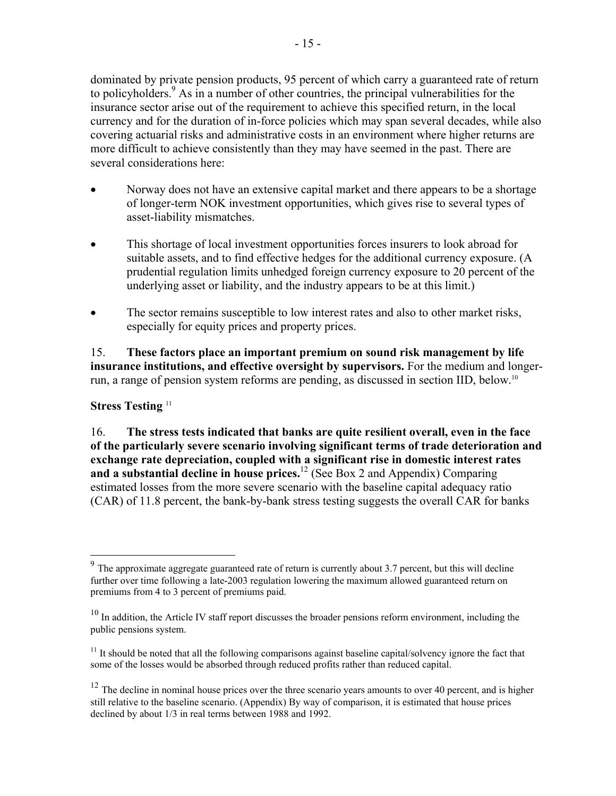dominated by private pension products, 95 percent of which carry a guaranteed rate of return to policyholders.<sup>9</sup> As in a number of other countries, the principal vulnerabilities for the insurance sector arise out of the requirement to achieve this specified return, in the local currency and for the duration of in-force policies which may span several decades, while also covering actuarial risks and administrative costs in an environment where higher returns are more difficult to achieve consistently than they may have seemed in the past. There are several considerations here:

- Norway does not have an extensive capital market and there appears to be a shortage of longer-term NOK investment opportunities, which gives rise to several types of asset-liability mismatches.
- This shortage of local investment opportunities forces insurers to look abroad for suitable assets, and to find effective hedges for the additional currency exposure. (A prudential regulation limits unhedged foreign currency exposure to 20 percent of the underlying asset or liability, and the industry appears to be at this limit.)
- The sector remains susceptible to low interest rates and also to other market risks, especially for equity prices and property prices.

15. **These factors place an important premium on sound risk management by life insurance institutions, and effective oversight by supervisors.** For the medium and longerrun, a range of pension system reforms are pending, as discussed in section IID, below.10

## **Stress Testing** <sup>11</sup>

 $\overline{a}$ 

16. **The stress tests indicated that banks are quite resilient overall, even in the face of the particularly severe scenario involving significant terms of trade deterioration and exchange rate depreciation, coupled with a significant rise in domestic interest rates and a substantial decline in house prices.**12 (See Box 2 and Appendix) Comparing estimated losses from the more severe scenario with the baseline capital adequacy ratio (CAR) of 11.8 percent, the bank-by-bank stress testing suggests the overall CAR for banks

 $9<sup>9</sup>$  The approximate aggregate guaranteed rate of return is currently about 3.7 percent, but this will decline further over time following a late-2003 regulation lowering the maximum allowed guaranteed return on premiums from 4 to 3 percent of premiums paid.

<sup>&</sup>lt;sup>10</sup> In addition, the Article IV staff report discusses the broader pensions reform environment, including the public pensions system.

 $11$  It should be noted that all the following comparisons against baseline capital/solvency ignore the fact that some of the losses would be absorbed through reduced profits rather than reduced capital.

 $12$  The decline in nominal house prices over the three scenario years amounts to over 40 percent, and is higher still relative to the baseline scenario. (Appendix) By way of comparison, it is estimated that house prices declined by about 1/3 in real terms between 1988 and 1992.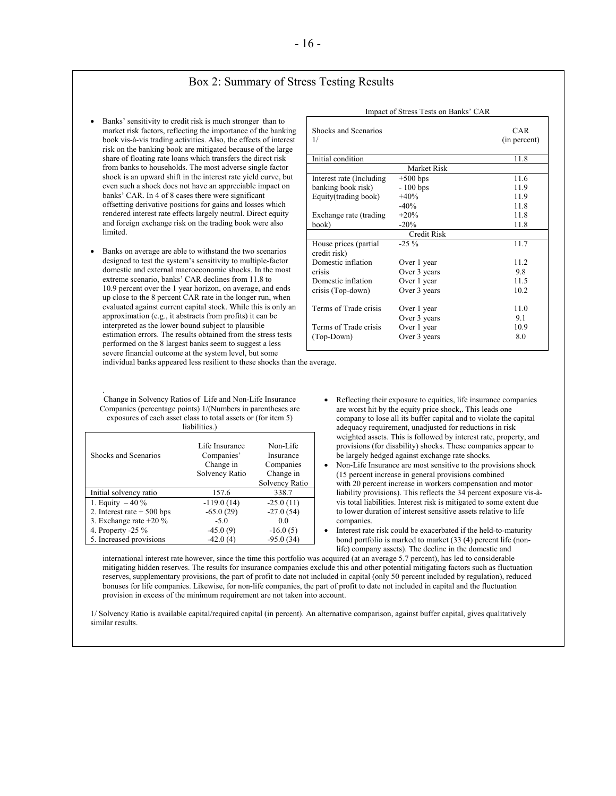#### Box 2: Summary of Stress Testing Results

- Banks' sensitivity to credit risk is much stronger than to market risk factors, reflecting the importance of the banking book vis-à-vis trading activities. Also, the effects of interest risk on the banking book are mitigated because of the large share of floating rate loans which transfers the direct risk from banks to households. The most adverse single factor shock is an upward shift in the interest rate yield curve, but even such a shock does not have an appreciable impact on banks' CAR. In 4 of 8 cases there were significant offsetting derivative positions for gains and losses which rendered interest rate effects largely neutral. Direct equity and foreign exchange risk on the trading book were also limited.
- Banks on average are able to withstand the two scenarios designed to test the system's sensitivity to multiple-factor domestic and external macroeconomic shocks. In the most extreme scenario, banks' CAR declines from 11.8 to 10.9 percent over the 1 year horizon, on average, and ends up close to the 8 percent CAR rate in the longer run, when evaluated against current capital stock. While this is only an approximation (e.g., it abstracts from profits) it can be interpreted as the lower bound subject to plausible estimation errors. The results obtained from the stress tests performed on the 8 largest banks seem to suggest a less severe financial outcome at the system level, but some individual banks appeared less resilient to these shocks than the average.

. Change in Solvency Ratios of Life and Non-Life Insurance Companies (percentage points) 1/(Numbers in parentheses are exposures of each asset class to total assets or (for item 5) liabilities.)

| Shocks and Scenarios        | Life Insurance<br>Companies'<br>Change in<br>Solvency Ratio | Non-Life<br>Insurance<br>Companies<br>Change in<br>Solvency Ratio |
|-----------------------------|-------------------------------------------------------------|-------------------------------------------------------------------|
| Initial solvency ratio      | 157.6                                                       | 338.7                                                             |
| 1. Equity $-40\%$           | $-119.0(14)$                                                | $-25.0(11)$                                                       |
| 2. Interest rate $+500$ bps | $-65.0(29)$                                                 | $-27.0(54)$                                                       |
| 3. Exchange rate $+20\%$    | $-5.0$                                                      | 00                                                                |
| 4. Property -25 $\%$        | $-45.0(9)$                                                  | $-16.0(5)$                                                        |
| 5. Increased provisions     | $-42.0(4)$                                                  | $-95.0(34)$                                                       |

|                                       | Impact of Stress Tests on Banks CAR |                     |  |
|---------------------------------------|-------------------------------------|---------------------|--|
| Shocks and Scenarios<br>1/            |                                     | CAR<br>(in percent) |  |
| Initial condition                     |                                     | 11.8                |  |
|                                       | <b>Market Risk</b>                  |                     |  |
| Interest rate (Including)             | $+500$ bps                          | 11.6                |  |
| banking book risk)                    | $-100$ bps                          | 11.9                |  |
| Equity(trading book)                  | $+40%$                              | 11.9                |  |
|                                       | $-40%$                              | 11.8                |  |
| Exchange rate (trading                | $+20%$                              | 11.8                |  |
| book)                                 | $-20%$                              | 11.8                |  |
| Credit Risk                           |                                     |                     |  |
| House prices (partial<br>credit risk) | $-25\%$                             | 11.7                |  |
| Domestic inflation                    | Over 1 year                         | 11.2                |  |
| crisis                                | Over 3 years                        | 9.8                 |  |
| Domestic inflation                    | Over 1 year                         | 11.5                |  |
| crisis (Top-down)                     | Over 3 years                        | 10.2                |  |
| Terms of Trade crisis                 | Over 1 year<br>Over 3 years         | 11.0<br>9.1         |  |
| Terms of Trade crisis                 | Over 1 year                         | 10.9                |  |
| (Top-Down)                            | Over 3 years                        | 8.0                 |  |

• Reflecting their exposure to equities, life insurance companies are worst hit by the equity price shock,. This leads one company to lose all its buffer capital and to violate the capital adequacy requirement, unadjusted for reductions in risk weighted assets. This is followed by interest rate, property, and provisions (for disability) shocks. These companies appear to be largely hedged against exchange rate shocks.

- Non-Life Insurance are most sensitive to the provisions shock (15 percent increase in general provisions combined with 20 percent increase in workers compensation and motor liability provisions). This reflects the 34 percent exposure vis-àvis total liabilities. Interest risk is mitigated to some extent due to lower duration of interest sensitive assets relative to life companies.
- Interest rate risk could be exacerbated if the held-to-maturity bond portfolio is marked to market (33 (4) percent life (nonlife) company assets). The decline in the domestic and

international interest rate however, since the time this portfolio was acquired (at an average 5.7 percent), has led to considerable mitigating hidden reserves. The results for insurance companies exclude this and other potential mitigating factors such as fluctuation reserves, supplementary provisions, the part of profit to date not included in capital (only 50 percent included by regulation), reduced bonuses for life companies. Likewise, for non-life companies, the part of profit to date not included in capital and the fluctuation provision in excess of the minimum requirement are not taken into account.

1/ Solvency Ratio is available capital/required capital (in percent). An alternative comparison, against buffer capital, gives qualitatively similar results.

at of Stress Tests on Banks'  $CAD$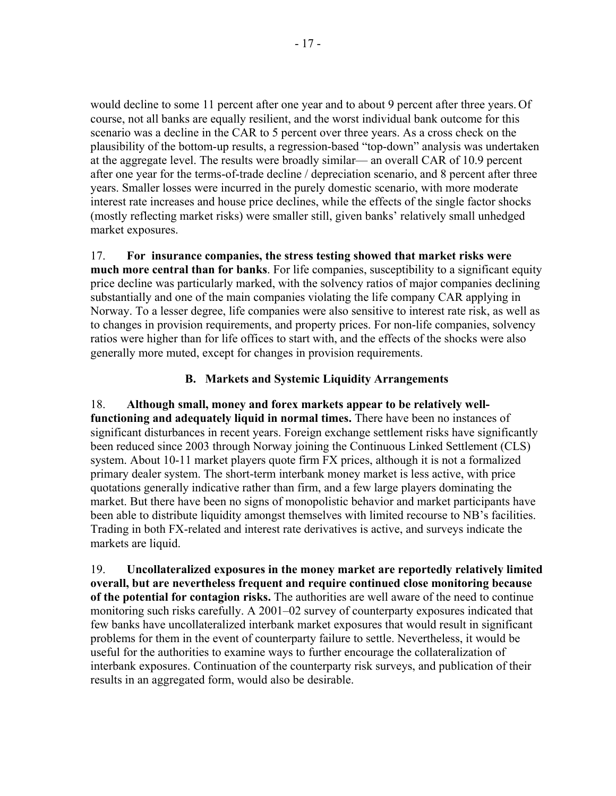would decline to some 11 percent after one year and to about 9 percent after three years. Of course, not all banks are equally resilient, and the worst individual bank outcome for this scenario was a decline in the CAR to 5 percent over three years. As a cross check on the plausibility of the bottom-up results, a regression-based "top-down" analysis was undertaken at the aggregate level. The results were broadly similar— an overall CAR of 10.9 percent after one year for the terms-of-trade decline / depreciation scenario, and 8 percent after three years. Smaller losses were incurred in the purely domestic scenario, with more moderate interest rate increases and house price declines, while the effects of the single factor shocks (mostly reflecting market risks) were smaller still, given banks' relatively small unhedged market exposures.

17. **For insurance companies, the stress testing showed that market risks were much more central than for banks**. For life companies, susceptibility to a significant equity price decline was particularly marked, with the solvency ratios of major companies declining substantially and one of the main companies violating the life company CAR applying in Norway. To a lesser degree, life companies were also sensitive to interest rate risk, as well as to changes in provision requirements, and property prices. For non-life companies, solvency ratios were higher than for life offices to start with, and the effects of the shocks were also generally more muted, except for changes in provision requirements.

#### **B. Markets and Systemic Liquidity Arrangements**

18. **Although small, money and forex markets appear to be relatively wellfunctioning and adequately liquid in normal times.** There have been no instances of significant disturbances in recent years. Foreign exchange settlement risks have significantly been reduced since 2003 through Norway joining the Continuous Linked Settlement (CLS) system. About 10-11 market players quote firm FX prices, although it is not a formalized primary dealer system. The short-term interbank money market is less active, with price quotations generally indicative rather than firm, and a few large players dominating the market. But there have been no signs of monopolistic behavior and market participants have been able to distribute liquidity amongst themselves with limited recourse to NB's facilities. Trading in both FX-related and interest rate derivatives is active, and surveys indicate the markets are liquid.

19. **Uncollateralized exposures in the money market are reportedly relatively limited overall, but are nevertheless frequent and require continued close monitoring because of the potential for contagion risks.** The authorities are well aware of the need to continue monitoring such risks carefully. A 2001–02 survey of counterparty exposures indicated that few banks have uncollateralized interbank market exposures that would result in significant problems for them in the event of counterparty failure to settle. Nevertheless, it would be useful for the authorities to examine ways to further encourage the collateralization of interbank exposures. Continuation of the counterparty risk surveys, and publication of their results in an aggregated form, would also be desirable.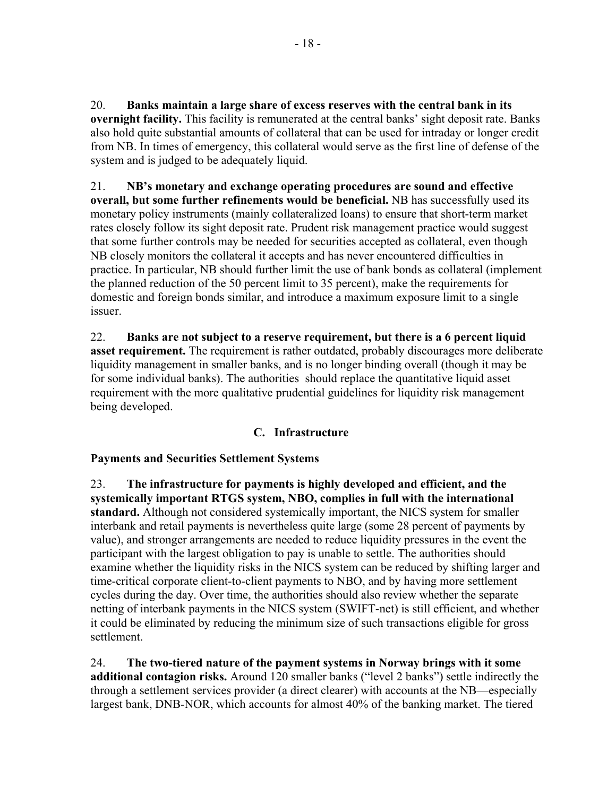20. **Banks maintain a large share of excess reserves with the central bank in its overnight facility.** This facility is remunerated at the central banks' sight deposit rate. Banks also hold quite substantial amounts of collateral that can be used for intraday or longer credit from NB. In times of emergency, this collateral would serve as the first line of defense of the system and is judged to be adequately liquid.

21. **NB's monetary and exchange operating procedures are sound and effective overall, but some further refinements would be beneficial.** NB has successfully used its monetary policy instruments (mainly collateralized loans) to ensure that short-term market rates closely follow its sight deposit rate. Prudent risk management practice would suggest that some further controls may be needed for securities accepted as collateral, even though NB closely monitors the collateral it accepts and has never encountered difficulties in practice. In particular, NB should further limit the use of bank bonds as collateral (implement the planned reduction of the 50 percent limit to 35 percent), make the requirements for domestic and foreign bonds similar, and introduce a maximum exposure limit to a single issuer.

22. **Banks are not subject to a reserve requirement, but there is a 6 percent liquid asset requirement.** The requirement is rather outdated, probably discourages more deliberate liquidity management in smaller banks, and is no longer binding overall (though it may be for some individual banks). The authorities should replace the quantitative liquid asset requirement with the more qualitative prudential guidelines for liquidity risk management being developed.

## **C. Infrastructure**

## **Payments and Securities Settlement Systems**

23. **The infrastructure for payments is highly developed and efficient, and the systemically important RTGS system, NBO, complies in full with the international standard.** Although not considered systemically important, the NICS system for smaller interbank and retail payments is nevertheless quite large (some 28 percent of payments by value), and stronger arrangements are needed to reduce liquidity pressures in the event the participant with the largest obligation to pay is unable to settle. The authorities should examine whether the liquidity risks in the NICS system can be reduced by shifting larger and time-critical corporate client-to-client payments to NBO, and by having more settlement cycles during the day. Over time, the authorities should also review whether the separate netting of interbank payments in the NICS system (SWIFT-net) is still efficient, and whether it could be eliminated by reducing the minimum size of such transactions eligible for gross settlement.

24. **The two-tiered nature of the payment systems in Norway brings with it some additional contagion risks.** Around 120 smaller banks ("level 2 banks") settle indirectly the through a settlement services provider (a direct clearer) with accounts at the NB—especially largest bank, DNB-NOR, which accounts for almost 40% of the banking market. The tiered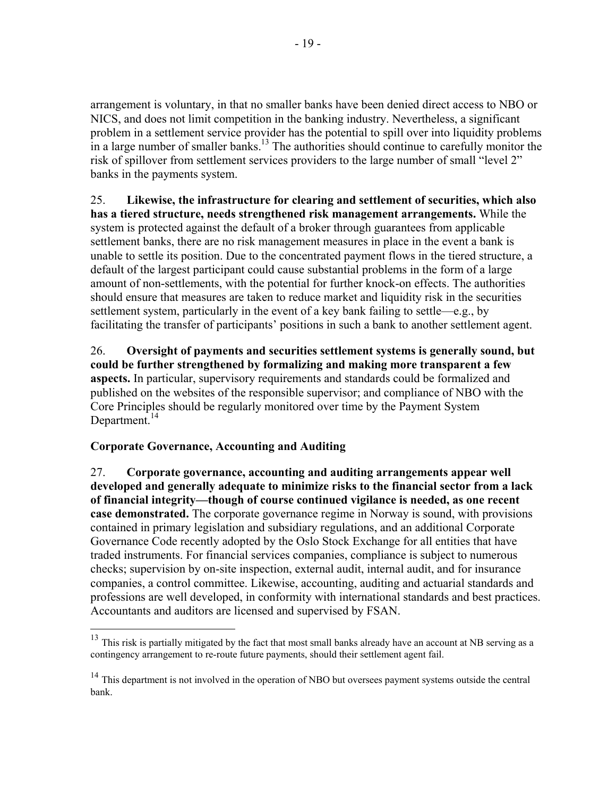arrangement is voluntary, in that no smaller banks have been denied direct access to NBO or NICS, and does not limit competition in the banking industry. Nevertheless, a significant problem in a settlement service provider has the potential to spill over into liquidity problems  $\frac{1}{10}$  in a large number of smaller banks.<sup>13</sup> The authorities should continue to carefully monitor the risk of spillover from settlement services providers to the large number of small "level 2" banks in the payments system.

25. **Likewise, the infrastructure for clearing and settlement of securities, which also has a tiered structure, needs strengthened risk management arrangements.** While the system is protected against the default of a broker through guarantees from applicable settlement banks, there are no risk management measures in place in the event a bank is unable to settle its position. Due to the concentrated payment flows in the tiered structure, a default of the largest participant could cause substantial problems in the form of a large amount of non-settlements, with the potential for further knock-on effects. The authorities should ensure that measures are taken to reduce market and liquidity risk in the securities settlement system, particularly in the event of a key bank failing to settle—e.g., by facilitating the transfer of participants' positions in such a bank to another settlement agent.

26. **Oversight of payments and securities settlement systems is generally sound, but could be further strengthened by formalizing and making more transparent a few aspects.** In particular, supervisory requirements and standards could be formalized and published on the websites of the responsible supervisor; and compliance of NBO with the Core Principles should be regularly monitored over time by the Payment System Department.<sup>14</sup>

## **Corporate Governance, Accounting and Auditing**

 $\overline{a}$ 

27. **Corporate governance, accounting and auditing arrangements appear well developed and generally adequate to minimize risks to the financial sector from a lack of financial integrity—though of course continued vigilance is needed, as one recent case demonstrated.** The corporate governance regime in Norway is sound, with provisions contained in primary legislation and subsidiary regulations, and an additional Corporate Governance Code recently adopted by the Oslo Stock Exchange for all entities that have traded instruments. For financial services companies, compliance is subject to numerous checks; supervision by on-site inspection, external audit, internal audit, and for insurance companies, a control committee. Likewise, accounting, auditing and actuarial standards and professions are well developed, in conformity with international standards and best practices. Accountants and auditors are licensed and supervised by FSAN.

 $13$  This risk is partially mitigated by the fact that most small banks already have an account at NB serving as a contingency arrangement to re-route future payments, should their settlement agent fail.

<sup>&</sup>lt;sup>14</sup> This department is not involved in the operation of NBO but oversees payment systems outside the central bank.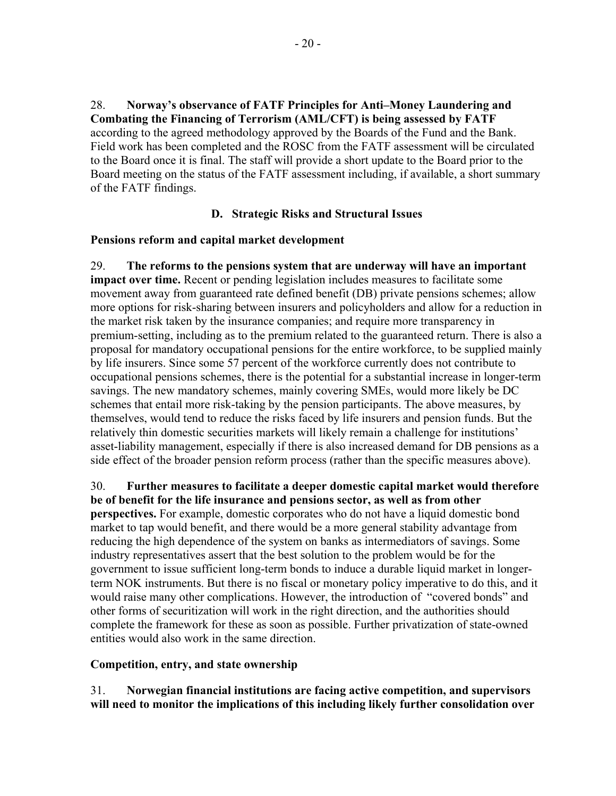## 28. **Norway's observance of FATF Principles for Anti–Money Laundering and Combating the Financing of Terrorism (AML/CFT) is being assessed by FATF** according to the agreed methodology approved by the Boards of the Fund and the Bank. Field work has been completed and the ROSC from the FATF assessment will be circulated to the Board once it is final. The staff will provide a short update to the Board prior to the Board meeting on the status of the FATF assessment including, if available, a short summary of the FATF findings.

## **D. Strategic Risks and Structural Issues**

## **Pensions reform and capital market development**

29. **The reforms to the pensions system that are underway will have an important impact over time.** Recent or pending legislation includes measures to facilitate some movement away from guaranteed rate defined benefit (DB) private pensions schemes; allow more options for risk-sharing between insurers and policyholders and allow for a reduction in the market risk taken by the insurance companies; and require more transparency in premium-setting, including as to the premium related to the guaranteed return. There is also a proposal for mandatory occupational pensions for the entire workforce, to be supplied mainly by life insurers. Since some 57 percent of the workforce currently does not contribute to occupational pensions schemes, there is the potential for a substantial increase in longer-term savings. The new mandatory schemes, mainly covering SMEs, would more likely be DC schemes that entail more risk-taking by the pension participants. The above measures, by themselves, would tend to reduce the risks faced by life insurers and pension funds. But the relatively thin domestic securities markets will likely remain a challenge for institutions' asset-liability management, especially if there is also increased demand for DB pensions as a side effect of the broader pension reform process (rather than the specific measures above).

30. **Further measures to facilitate a deeper domestic capital market would therefore be of benefit for the life insurance and pensions sector, as well as from other perspectives.** For example, domestic corporates who do not have a liquid domestic bond market to tap would benefit, and there would be a more general stability advantage from reducing the high dependence of the system on banks as intermediators of savings. Some industry representatives assert that the best solution to the problem would be for the government to issue sufficient long-term bonds to induce a durable liquid market in longerterm NOK instruments. But there is no fiscal or monetary policy imperative to do this, and it would raise many other complications. However, the introduction of "covered bonds" and other forms of securitization will work in the right direction, and the authorities should complete the framework for these as soon as possible. Further privatization of state-owned entities would also work in the same direction.

## **Competition, entry, and state ownership**

31. **Norwegian financial institutions are facing active competition, and supervisors will need to monitor the implications of this including likely further consolidation over**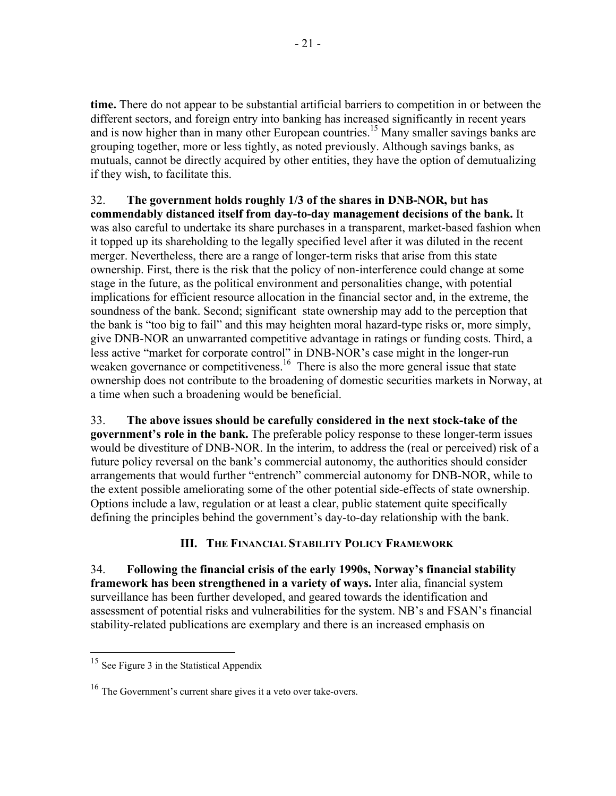**time.** There do not appear to be substantial artificial barriers to competition in or between the different sectors, and foreign entry into banking has increased significantly in recent years and is now higher than in many other European countries.<sup>15</sup> Many smaller savings banks are grouping together, more or less tightly, as noted previously. Although savings banks, as mutuals, cannot be directly acquired by other entities, they have the option of demutualizing if they wish, to facilitate this.

32. **The government holds roughly 1/3 of the shares in DNB-NOR, but has commendably distanced itself from day-to-day management decisions of the bank.** It was also careful to undertake its share purchases in a transparent, market-based fashion when it topped up its shareholding to the legally specified level after it was diluted in the recent merger. Nevertheless, there are a range of longer-term risks that arise from this state ownership. First, there is the risk that the policy of non-interference could change at some stage in the future, as the political environment and personalities change, with potential implications for efficient resource allocation in the financial sector and, in the extreme, the soundness of the bank. Second; significant state ownership may add to the perception that the bank is "too big to fail" and this may heighten moral hazard-type risks or, more simply, give DNB-NOR an unwarranted competitive advantage in ratings or funding costs. Third, a less active "market for corporate control" in DNB-NOR's case might in the longer-run weaken governance or competitiveness.<sup>16</sup> There is also the more general issue that state ownership does not contribute to the broadening of domestic securities markets in Norway, at a time when such a broadening would be beneficial.

33. **The above issues should be carefully considered in the next stock-take of the government's role in the bank.** The preferable policy response to these longer-term issues would be divestiture of DNB-NOR. In the interim, to address the (real or perceived) risk of a future policy reversal on the bank's commercial autonomy, the authorities should consider arrangements that would further "entrench" commercial autonomy for DNB-NOR, while to the extent possible ameliorating some of the other potential side-effects of state ownership. Options include a law, regulation or at least a clear, public statement quite specifically defining the principles behind the government's day-to-day relationship with the bank.

## **III. THE FINANCIAL STABILITY POLICY FRAMEWORK**

34. **Following the financial crisis of the early 1990s, Norway's financial stability framework has been strengthened in a variety of ways.** Inter alia, financial system surveillance has been further developed, and geared towards the identification and assessment of potential risks and vulnerabilities for the system. NB's and FSAN's financial stability-related publications are exemplary and there is an increased emphasis on

1

 $15$  See Figure 3 in the Statistical Appendix

<sup>&</sup>lt;sup>16</sup> The Government's current share gives it a veto over take-overs.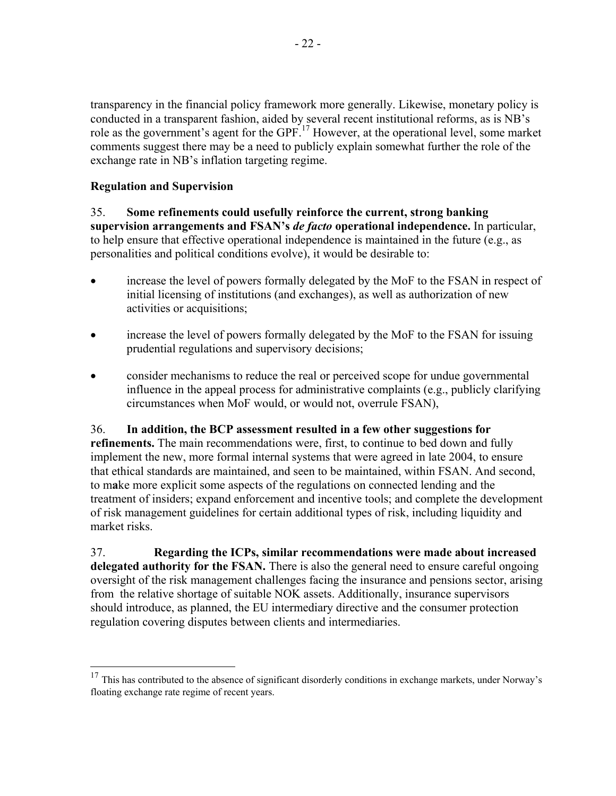transparency in the financial policy framework more generally. Likewise, monetary policy is conducted in a transparent fashion, aided by several recent institutional reforms, as is NB's role as the government's agent for the GPF.<sup>17</sup> However, at the operational level, some market comments suggest there may be a need to publicly explain somewhat further the role of the exchange rate in NB's inflation targeting regime.

## **Regulation and Supervision**

1

## 35. **Some refinements could usefully reinforce the current, strong banking supervision arrangements and FSAN's** *de facto* **operational independence.** In particular, to help ensure that effective operational independence is maintained in the future (e.g., as personalities and political conditions evolve), it would be desirable to:

- increase the level of powers formally delegated by the MoF to the FSAN in respect of initial licensing of institutions (and exchanges), as well as authorization of new activities or acquisitions;
- increase the level of powers formally delegated by the MoF to the FSAN for issuing prudential regulations and supervisory decisions;
- consider mechanisms to reduce the real or perceived scope for undue governmental influence in the appeal process for administrative complaints (e.g., publicly clarifying circumstances when MoF would, or would not, overrule FSAN),

# 36. **In addition, the BCP assessment resulted in a few other suggestions for**

**refinements.** The main recommendations were, first, to continue to bed down and fully implement the new, more formal internal systems that were agreed in late 2004, to ensure that ethical standards are maintained, and seen to be maintained, within FSAN. And second, to m**a**ke more explicit some aspects of the regulations on connected lending and the treatment of insiders; expand enforcement and incentive tools; and complete the development of risk management guidelines for certain additional types of risk, including liquidity and market risks.

37. **Regarding the ICPs, similar recommendations were made about increased delegated authority for the FSAN.** There is also the general need to ensure careful ongoing oversight of the risk management challenges facing the insurance and pensions sector, arising from the relative shortage of suitable NOK assets. Additionally, insurance supervisors should introduce, as planned, the EU intermediary directive and the consumer protection regulation covering disputes between clients and intermediaries.

<sup>&</sup>lt;sup>17</sup> This has contributed to the absence of significant disorderly conditions in exchange markets, under Norway's floating exchange rate regime of recent years.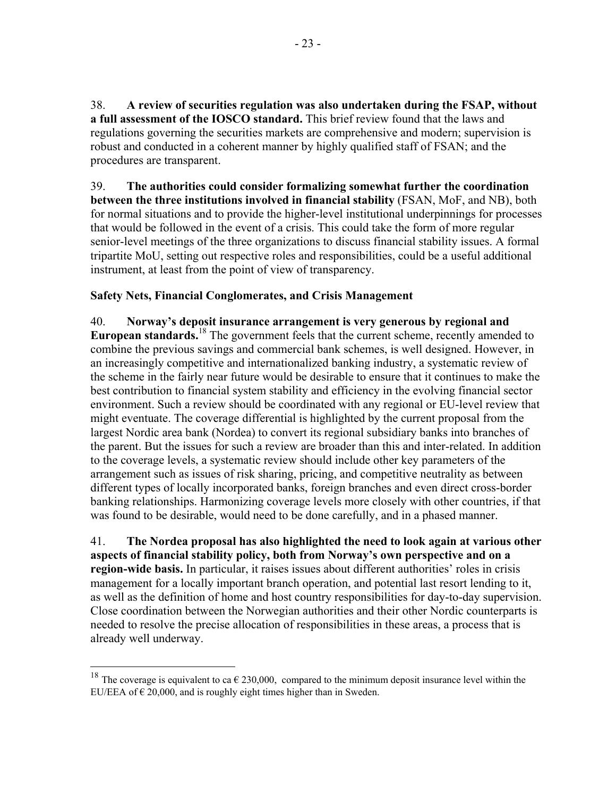38. **A review of securities regulation was also undertaken during the FSAP, without a full assessment of the IOSCO standard.** This brief review found that the laws and regulations governing the securities markets are comprehensive and modern; supervision is robust and conducted in a coherent manner by highly qualified staff of FSAN; and the procedures are transparent.

39. **The authorities could consider formalizing somewhat further the coordination between the three institutions involved in financial stability** (FSAN, MoF, and NB), both for normal situations and to provide the higher-level institutional underpinnings for processes that would be followed in the event of a crisis. This could take the form of more regular senior-level meetings of the three organizations to discuss financial stability issues. A formal tripartite MoU, setting out respective roles and responsibilities, could be a useful additional instrument, at least from the point of view of transparency.

## **Safety Nets, Financial Conglomerates, and Crisis Management**

40. **Norway's deposit insurance arrangement is very generous by regional and European standards.**<sup>18</sup> The government feels that the current scheme, recently amended to combine the previous savings and commercial bank schemes, is well designed. However, in an increasingly competitive and internationalized banking industry, a systematic review of the scheme in the fairly near future would be desirable to ensure that it continues to make the best contribution to financial system stability and efficiency in the evolving financial sector environment. Such a review should be coordinated with any regional or EU-level review that might eventuate. The coverage differential is highlighted by the current proposal from the largest Nordic area bank (Nordea) to convert its regional subsidiary banks into branches of the parent. But the issues for such a review are broader than this and inter-related. In addition to the coverage levels, a systematic review should include other key parameters of the arrangement such as issues of risk sharing, pricing, and competitive neutrality as between different types of locally incorporated banks, foreign branches and even direct cross-border banking relationships. Harmonizing coverage levels more closely with other countries, if that was found to be desirable, would need to be done carefully, and in a phased manner.

41. **The Nordea proposal has also highlighted the need to look again at various other aspects of financial stability policy, both from Norway's own perspective and on a region-wide basis.** In particular, it raises issues about different authorities' roles in crisis management for a locally important branch operation, and potential last resort lending to it, as well as the definition of home and host country responsibilities for day-to-day supervision. Close coordination between the Norwegian authorities and their other Nordic counterparts is needed to resolve the precise allocation of responsibilities in these areas, a process that is already well underway.

 $\overline{a}$ 

<sup>&</sup>lt;sup>18</sup> The coverage is equivalent to ca  $\epsilon$  230,000, compared to the minimum deposit insurance level within the EU/EEA of  $\epsilon$  20,000, and is roughly eight times higher than in Sweden.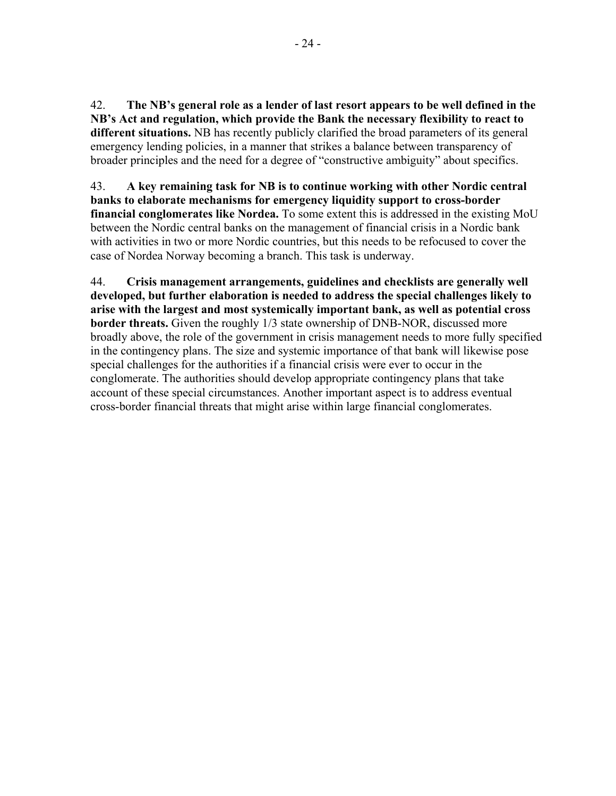42. **The NB's general role as a lender of last resort appears to be well defined in the NB's Act and regulation, which provide the Bank the necessary flexibility to react to different situations.** NB has recently publicly clarified the broad parameters of its general emergency lending policies, in a manner that strikes a balance between transparency of broader principles and the need for a degree of "constructive ambiguity" about specifics.

43. **A key remaining task for NB is to continue working with other Nordic central banks to elaborate mechanisms for emergency liquidity support to cross-border financial conglomerates like Nordea.** To some extent this is addressed in the existing MoU between the Nordic central banks on the management of financial crisis in a Nordic bank with activities in two or more Nordic countries, but this needs to be refocused to cover the case of Nordea Norway becoming a branch. This task is underway.

44. **Crisis management arrangements, guidelines and checklists are generally well developed, but further elaboration is needed to address the special challenges likely to arise with the largest and most systemically important bank, as well as potential cross border threats.** Given the roughly 1/3 state ownership of DNB-NOR, discussed more broadly above, the role of the government in crisis management needs to more fully specified in the contingency plans. The size and systemic importance of that bank will likewise pose special challenges for the authorities if a financial crisis were ever to occur in the conglomerate. The authorities should develop appropriate contingency plans that take account of these special circumstances. Another important aspect is to address eventual cross-border financial threats that might arise within large financial conglomerates.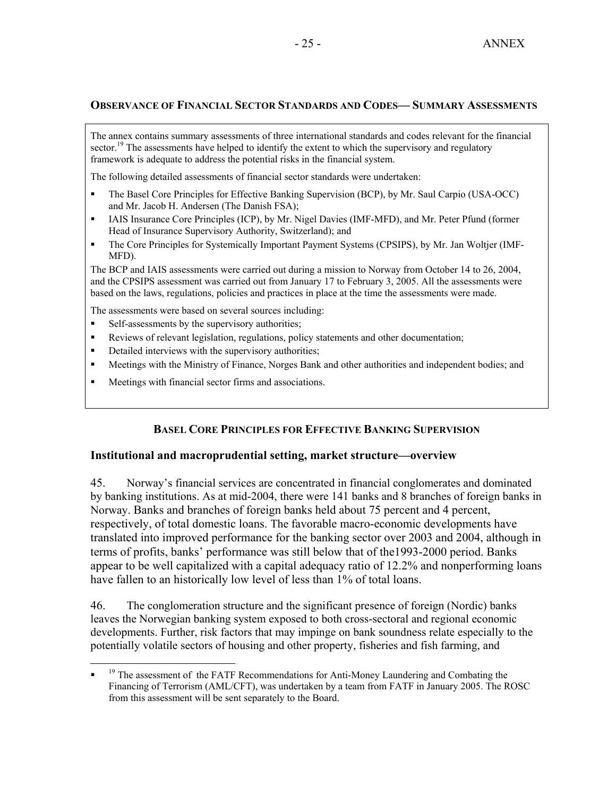#### **OBSERVANCE OF FINANCIAL SECTOR STANDARDS AND CODES— SUMMARY ASSESSMENTS**

The annex contains summary assessments of three international standards and codes relevant for the financial sector.<sup>19</sup> The assessments have helped to identify the extent to which the supervisory and regulatory framework is adequate to address the potential risks in the financial system.

The following detailed assessments of financial sector standards were undertaken:

- The Basel Core Principles for Effective Banking Supervision (BCP), by Mr. Saul Carpio (USA-OCC) and Mr. Jacob H. Andersen (The Danish FSA);
- IAIS Insurance Core Principles (ICP), by Mr. Nigel Davies (IMF-MFD), and Mr. Peter Pfund (former Head of Insurance Supervisory Authority, Switzerland); and
- The Core Principles for Systemically Important Payment Systems (CPSIPS), by Mr. Jan Woltjer (IMF-MFD).

The BCP and IAIS assessments were carried out during a mission to Norway from October 14 to 26, 2004, and the CPSIPS assessment was carried out from January 17 to February 3, 2005. All the assessments were based on the laws, regulations, policies and practices in place at the time the assessments were made.

The assessments were based on several sources including:

- Self-assessments by the supervisory authorities;
- Reviews of relevant legislation, regulations, policy statements and other documentation;
- Detailed interviews with the supervisory authorities;
- Meetings with the Ministry of Finance, Norges Bank and other authorities and independent bodies; and
- Meetings with financial sector firms and associations.

 $\overline{a}$ 

#### **BASEL CORE PRINCIPLES FOR EFFECTIVE BANKING SUPERVISION**

#### **Institutional and macroprudential setting, market structure—overview**

45. Norway's financial services are concentrated in financial conglomerates and dominated by banking institutions. As at mid-2004, there were 141 banks and 8 branches of foreign banks in Norway. Banks and branches of foreign banks held about 75 percent and 4 percent, respectively, of total domestic loans. The favorable macro-economic developments have translated into improved performance for the banking sector over 2003 and 2004, although in terms of profits, banks' performance was still below that of the1993-2000 period. Banks appear to be well capitalized with a capital adequacy ratio of 12.2% and nonperforming loans have fallen to an historically low level of less than 1% of total loans.

46. The conglomeration structure and the significant presence of foreign (Nordic) banks leaves the Norwegian banking system exposed to both cross-sectoral and regional economic developments. Further, risk factors that may impinge on bank soundness relate especially to the potentially volatile sectors of housing and other property, fisheries and fish farming, and

<sup>&</sup>lt;sup>19</sup> The assessment of the FATF Recommendations for Anti-Money Laundering and Combating the Financing of Terrorism (AML/CFT), was undertaken by a team from FATF in January 2005. The ROSC from this assessment will be sent separately to the Board.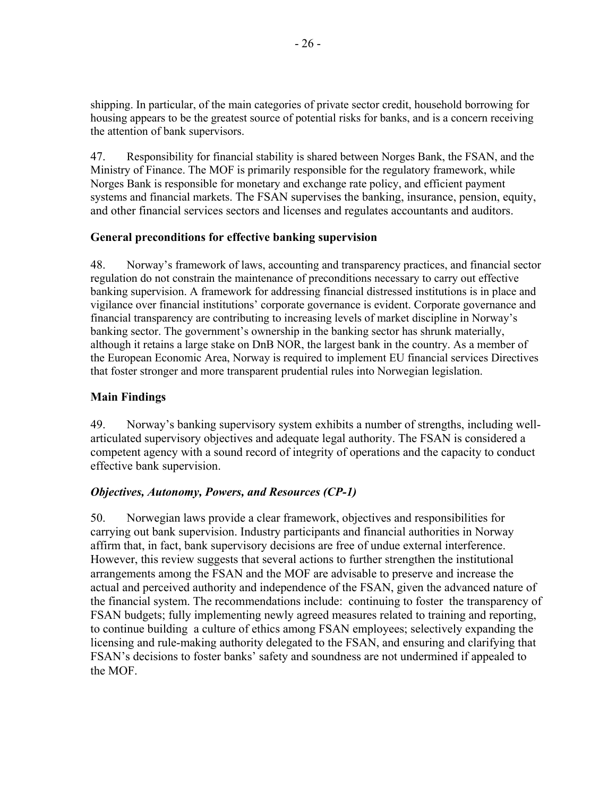shipping. In particular, of the main categories of private sector credit, household borrowing for housing appears to be the greatest source of potential risks for banks, and is a concern receiving the attention of bank supervisors.

47. Responsibility for financial stability is shared between Norges Bank, the FSAN, and the Ministry of Finance. The MOF is primarily responsible for the regulatory framework, while Norges Bank is responsible for monetary and exchange rate policy, and efficient payment systems and financial markets. The FSAN supervises the banking, insurance, pension, equity, and other financial services sectors and licenses and regulates accountants and auditors.

## **General preconditions for effective banking supervision**

48. Norway's framework of laws, accounting and transparency practices, and financial sector regulation do not constrain the maintenance of preconditions necessary to carry out effective banking supervision. A framework for addressing financial distressed institutions is in place and vigilance over financial institutions' corporate governance is evident. Corporate governance and financial transparency are contributing to increasing levels of market discipline in Norway's banking sector. The government's ownership in the banking sector has shrunk materially, although it retains a large stake on DnB NOR, the largest bank in the country. As a member of the European Economic Area, Norway is required to implement EU financial services Directives that foster stronger and more transparent prudential rules into Norwegian legislation.

#### **Main Findings**

49. Norway's banking supervisory system exhibits a number of strengths, including wellarticulated supervisory objectives and adequate legal authority. The FSAN is considered a competent agency with a sound record of integrity of operations and the capacity to conduct effective bank supervision.

## *Objectives, Autonomy, Powers, and Resources (CP-1)*

50. Norwegian laws provide a clear framework, objectives and responsibilities for carrying out bank supervision. Industry participants and financial authorities in Norway affirm that, in fact, bank supervisory decisions are free of undue external interference. However, this review suggests that several actions to further strengthen the institutional arrangements among the FSAN and the MOF are advisable to preserve and increase the actual and perceived authority and independence of the FSAN, given the advanced nature of the financial system. The recommendations include: continuing to foster the transparency of FSAN budgets; fully implementing newly agreed measures related to training and reporting, to continue building a culture of ethics among FSAN employees; selectively expanding the licensing and rule-making authority delegated to the FSAN, and ensuring and clarifying that FSAN's decisions to foster banks' safety and soundness are not undermined if appealed to the MOF.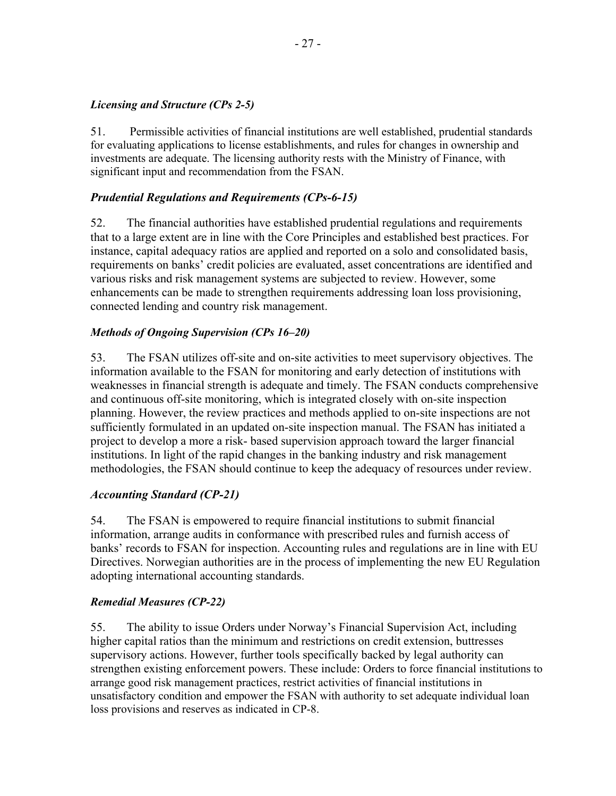## *Licensing and Structure (CPs 2-5)*

51. Permissible activities of financial institutions are well established, prudential standards for evaluating applications to license establishments, and rules for changes in ownership and investments are adequate. The licensing authority rests with the Ministry of Finance, with significant input and recommendation from the FSAN.

## *Prudential Regulations and Requirements (CPs-6-15)*

52. The financial authorities have established prudential regulations and requirements that to a large extent are in line with the Core Principles and established best practices. For instance, capital adequacy ratios are applied and reported on a solo and consolidated basis, requirements on banks' credit policies are evaluated, asset concentrations are identified and various risks and risk management systems are subjected to review. However, some enhancements can be made to strengthen requirements addressing loan loss provisioning, connected lending and country risk management.

#### *Methods of Ongoing Supervision (CPs 16–20)*

53. The FSAN utilizes off-site and on-site activities to meet supervisory objectives. The information available to the FSAN for monitoring and early detection of institutions with weaknesses in financial strength is adequate and timely. The FSAN conducts comprehensive and continuous off-site monitoring, which is integrated closely with on-site inspection planning. However, the review practices and methods applied to on-site inspections are not sufficiently formulated in an updated on-site inspection manual. The FSAN has initiated a project to develop a more a risk- based supervision approach toward the larger financial institutions. In light of the rapid changes in the banking industry and risk management methodologies, the FSAN should continue to keep the adequacy of resources under review.

## *Accounting Standard (CP-21)*

54. The FSAN is empowered to require financial institutions to submit financial information, arrange audits in conformance with prescribed rules and furnish access of banks' records to FSAN for inspection. Accounting rules and regulations are in line with EU Directives. Norwegian authorities are in the process of implementing the new EU Regulation adopting international accounting standards.

#### *Remedial Measures (CP-22)*

55. The ability to issue Orders under Norway's Financial Supervision Act, including higher capital ratios than the minimum and restrictions on credit extension, buttresses supervisory actions. However, further tools specifically backed by legal authority can strengthen existing enforcement powers. These include: Orders to force financial institutions to arrange good risk management practices, restrict activities of financial institutions in unsatisfactory condition and empower the FSAN with authority to set adequate individual loan loss provisions and reserves as indicated in CP-8.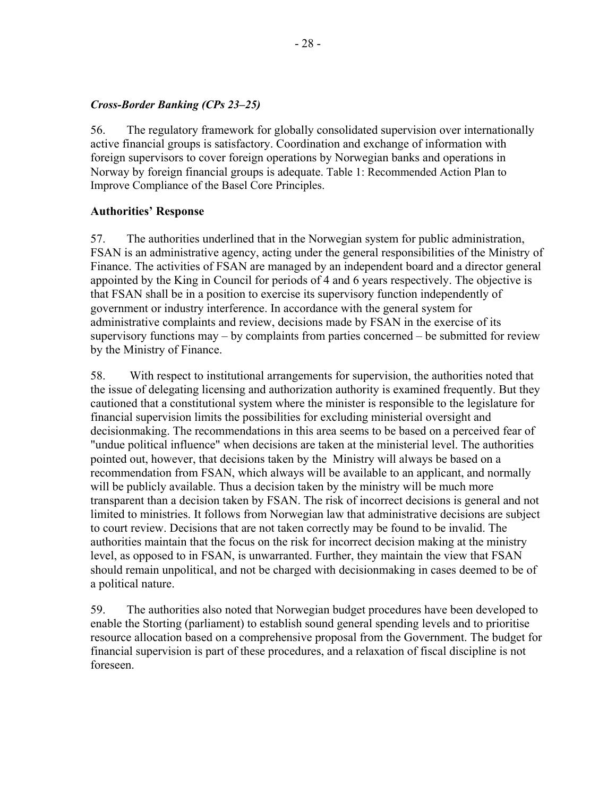#### *Cross-Border Banking (CPs 23–25)*

56. The regulatory framework for globally consolidated supervision over internationally active financial groups is satisfactory. Coordination and exchange of information with foreign supervisors to cover foreign operations by Norwegian banks and operations in Norway by foreign financial groups is adequate. Table 1: Recommended Action Plan to Improve Compliance of the Basel Core Principles.

#### **Authorities' Response**

57. The authorities underlined that in the Norwegian system for public administration, FSAN is an administrative agency, acting under the general responsibilities of the Ministry of Finance. The activities of FSAN are managed by an independent board and a director general appointed by the King in Council for periods of 4 and 6 years respectively. The objective is that FSAN shall be in a position to exercise its supervisory function independently of government or industry interference. In accordance with the general system for administrative complaints and review, decisions made by FSAN in the exercise of its supervisory functions may – by complaints from parties concerned – be submitted for review by the Ministry of Finance.

58. With respect to institutional arrangements for supervision, the authorities noted that the issue of delegating licensing and authorization authority is examined frequently. But they cautioned that a constitutional system where the minister is responsible to the legislature for financial supervision limits the possibilities for excluding ministerial oversight and decisionmaking. The recommendations in this area seems to be based on a perceived fear of "undue political influence" when decisions are taken at the ministerial level. The authorities pointed out, however, that decisions taken by the Ministry will always be based on a recommendation from FSAN, which always will be available to an applicant, and normally will be publicly available. Thus a decision taken by the ministry will be much more transparent than a decision taken by FSAN. The risk of incorrect decisions is general and not limited to ministries. It follows from Norwegian law that administrative decisions are subject to court review. Decisions that are not taken correctly may be found to be invalid. The authorities maintain that the focus on the risk for incorrect decision making at the ministry level, as opposed to in FSAN, is unwarranted. Further, they maintain the view that FSAN should remain unpolitical, and not be charged with decisionmaking in cases deemed to be of a political nature.

59. The authorities also noted that Norwegian budget procedures have been developed to enable the Storting (parliament) to establish sound general spending levels and to prioritise resource allocation based on a comprehensive proposal from the Government. The budget for financial supervision is part of these procedures, and a relaxation of fiscal discipline is not foreseen.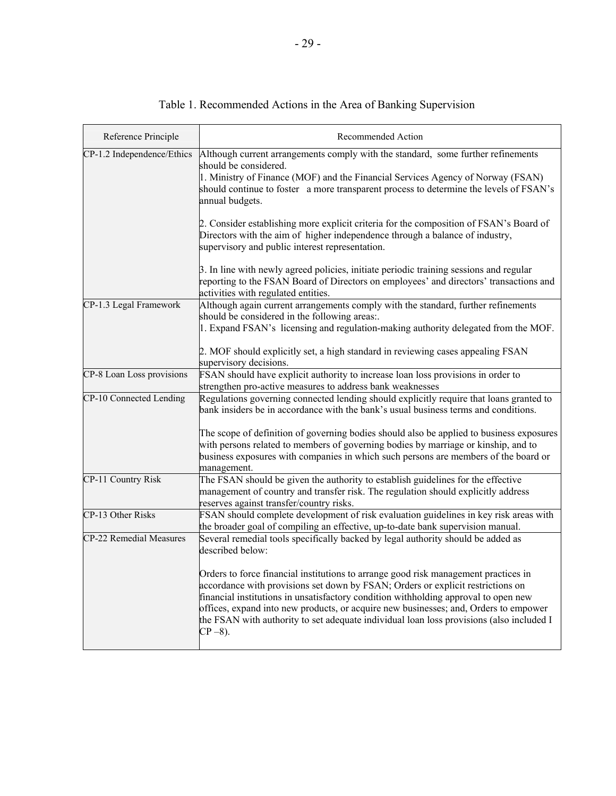| Reference Principle            | Recommended Action                                                                                                                                                                                                                                                                                                                                                                                                                                             |
|--------------------------------|----------------------------------------------------------------------------------------------------------------------------------------------------------------------------------------------------------------------------------------------------------------------------------------------------------------------------------------------------------------------------------------------------------------------------------------------------------------|
| CP-1.2 Independence/Ethics     | Although current arrangements comply with the standard, some further refinements<br>should be considered.<br>1. Ministry of Finance (MOF) and the Financial Services Agency of Norway (FSAN)<br>should continue to foster a more transparent process to determine the levels of FSAN's<br>annual budgets.                                                                                                                                                      |
|                                | 2. Consider establishing more explicit criteria for the composition of FSAN's Board of<br>Directors with the aim of higher independence through a balance of industry,<br>supervisory and public interest representation.                                                                                                                                                                                                                                      |
|                                | 3. In line with newly agreed policies, initiate periodic training sessions and regular<br>reporting to the FSAN Board of Directors on employees' and directors' transactions and<br>activities with regulated entities.                                                                                                                                                                                                                                        |
| CP-1.3 Legal Framework         | Although again current arrangements comply with the standard, further refinements<br>should be considered in the following areas:.<br>1. Expand FSAN's licensing and regulation-making authority delegated from the MOF.                                                                                                                                                                                                                                       |
|                                | 2. MOF should explicitly set, a high standard in reviewing cases appealing FSAN<br>supervisory decisions.                                                                                                                                                                                                                                                                                                                                                      |
| CP-8 Loan Loss provisions      | FSAN should have explicit authority to increase loan loss provisions in order to<br>strengthen pro-active measures to address bank weaknesses                                                                                                                                                                                                                                                                                                                  |
| <b>CP-10 Connected Lending</b> | Regulations governing connected lending should explicitly require that loans granted to<br>bank insiders be in accordance with the bank's usual business terms and conditions.                                                                                                                                                                                                                                                                                 |
|                                | The scope of definition of governing bodies should also be applied to business exposures<br>with persons related to members of governing bodies by marriage or kinship, and to<br>business exposures with companies in which such persons are members of the board or<br>management.                                                                                                                                                                           |
| <b>CP-11 Country Risk</b>      | The FSAN should be given the authority to establish guidelines for the effective<br>management of country and transfer risk. The regulation should explicitly address<br>reserves against transfer/country risks.                                                                                                                                                                                                                                              |
| CP-13 Other Risks              | FSAN should complete development of risk evaluation guidelines in key risk areas with<br>the broader goal of compiling an effective, up-to-date bank supervision manual.                                                                                                                                                                                                                                                                                       |
| <b>CP-22 Remedial Measures</b> | Several remedial tools specifically backed by legal authority should be added as<br>described below:                                                                                                                                                                                                                                                                                                                                                           |
|                                | Orders to force financial institutions to arrange good risk management practices in<br>accordance with provisions set down by FSAN; Orders or explicit restrictions on<br>financial institutions in unsatisfactory condition withholding approval to open new<br>offices, expand into new products, or acquire new businesses; and, Orders to empower<br>the FSAN with authority to set adequate individual loan loss provisions (also included I<br>$CP-8$ ). |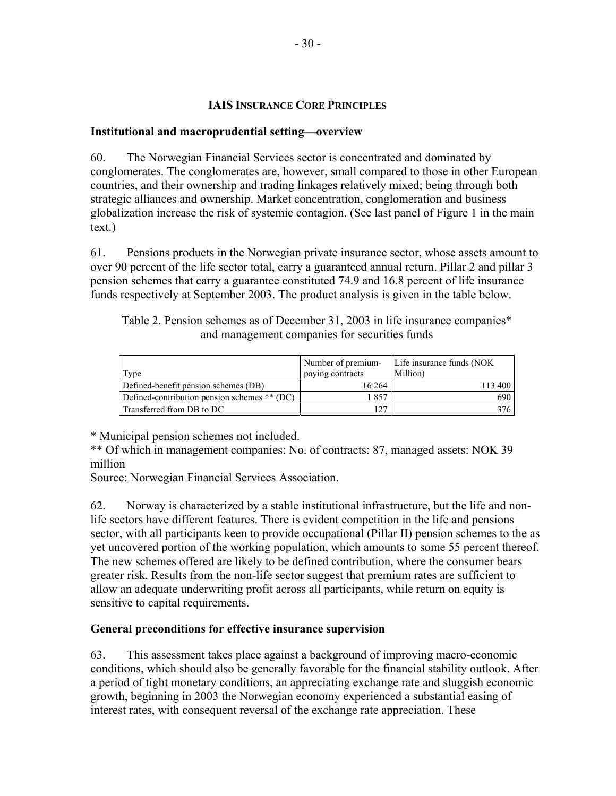#### **IAIS INSURANCE CORE PRINCIPLES**

# **Institutional and macroprudential setting—overview**

60. The Norwegian Financial Services sector is concentrated and dominated by conglomerates. The conglomerates are, however, small compared to those in other European countries, and their ownership and trading linkages relatively mixed; being through both strategic alliances and ownership. Market concentration, conglomeration and business globalization increase the risk of systemic contagion. (See last panel of Figure 1 in the main text.)

61. Pensions products in the Norwegian private insurance sector, whose assets amount to over 90 percent of the life sector total, carry a guaranteed annual return. Pillar 2 and pillar 3 pension schemes that carry a guarantee constituted 74.9 and 16.8 percent of life insurance funds respectively at September 2003. The product analysis is given in the table below.

Table 2. Pension schemes as of December 31, 2003 in life insurance companies\* and management companies for securities funds

| Type                                         | Number of premium-<br>paying contracts | Life insurance funds (NOK<br>Million) |
|----------------------------------------------|----------------------------------------|---------------------------------------|
| Defined-benefit pension schemes (DB)         | 16 264                                 | 113 400                               |
| Defined-contribution pension schemes ** (DC) | -857                                   | 690                                   |
| Transferred from DB to DC                    | 27                                     |                                       |

\* Municipal pension schemes not included.

\*\* Of which in management companies: No. of contracts: 87, managed assets: NOK 39 million

Source: Norwegian Financial Services Association.

62. Norway is characterized by a stable institutional infrastructure, but the life and nonlife sectors have different features. There is evident competition in the life and pensions sector, with all participants keen to provide occupational (Pillar II) pension schemes to the as yet uncovered portion of the working population, which amounts to some 55 percent thereof. The new schemes offered are likely to be defined contribution, where the consumer bears greater risk. Results from the non-life sector suggest that premium rates are sufficient to allow an adequate underwriting profit across all participants, while return on equity is sensitive to capital requirements.

# **General preconditions for effective insurance supervision**

63. This assessment takes place against a background of improving macro-economic conditions, which should also be generally favorable for the financial stability outlook. After a period of tight monetary conditions, an appreciating exchange rate and sluggish economic growth, beginning in 2003 the Norwegian economy experienced a substantial easing of interest rates, with consequent reversal of the exchange rate appreciation. These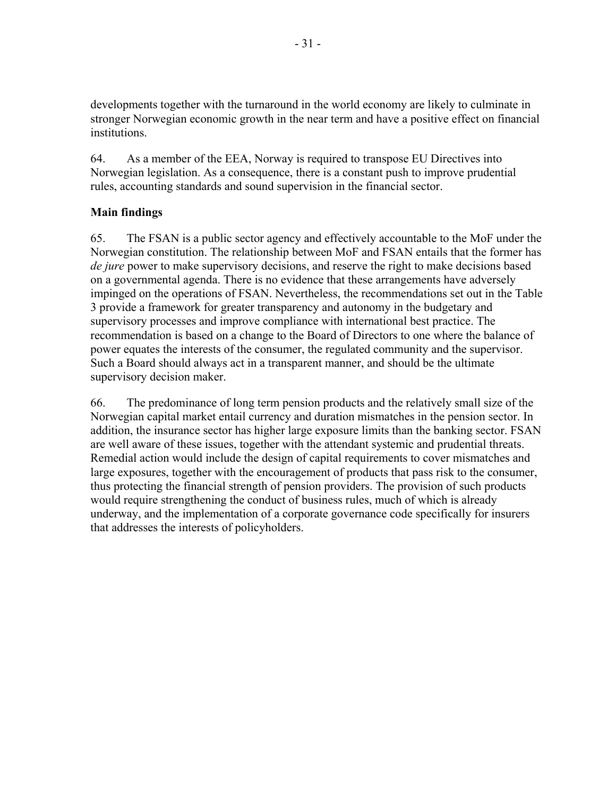developments together with the turnaround in the world economy are likely to culminate in stronger Norwegian economic growth in the near term and have a positive effect on financial institutions.

64. As a member of the EEA, Norway is required to transpose EU Directives into Norwegian legislation. As a consequence, there is a constant push to improve prudential rules, accounting standards and sound supervision in the financial sector.

## **Main findings**

65. The FSAN is a public sector agency and effectively accountable to the MoF under the Norwegian constitution. The relationship between MoF and FSAN entails that the former has *de jure* power to make supervisory decisions, and reserve the right to make decisions based on a governmental agenda. There is no evidence that these arrangements have adversely impinged on the operations of FSAN. Nevertheless, the recommendations set out in the Table 3 provide a framework for greater transparency and autonomy in the budgetary and supervisory processes and improve compliance with international best practice. The recommendation is based on a change to the Board of Directors to one where the balance of power equates the interests of the consumer, the regulated community and the supervisor. Such a Board should always act in a transparent manner, and should be the ultimate supervisory decision maker.

66. The predominance of long term pension products and the relatively small size of the Norwegian capital market entail currency and duration mismatches in the pension sector. In addition, the insurance sector has higher large exposure limits than the banking sector. FSAN are well aware of these issues, together with the attendant systemic and prudential threats. Remedial action would include the design of capital requirements to cover mismatches and large exposures, together with the encouragement of products that pass risk to the consumer, thus protecting the financial strength of pension providers. The provision of such products would require strengthening the conduct of business rules, much of which is already underway, and the implementation of a corporate governance code specifically for insurers that addresses the interests of policyholders.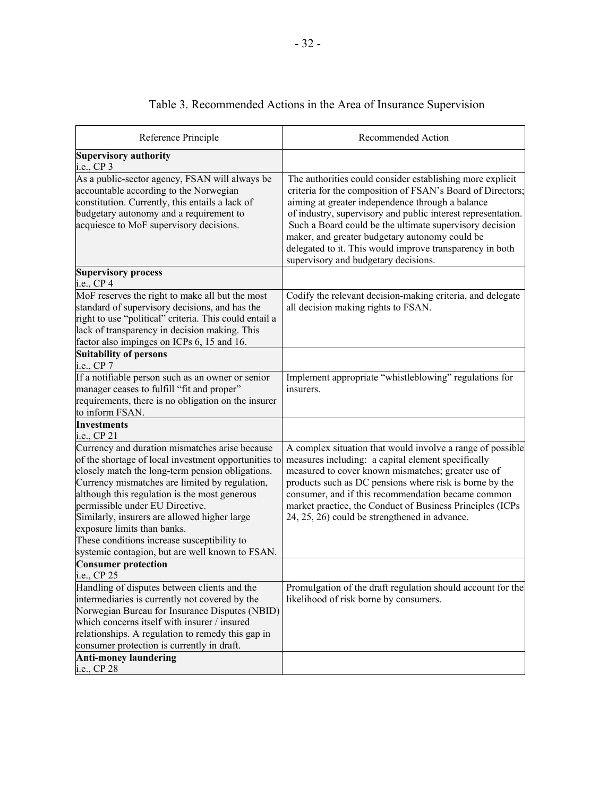| Reference Principle                                                                                                                                                                                                                                                                                                                                                                                                                                                               | Recommended Action                                                                                                                                                                                                                                                                                                                                                                                                                                           |
|-----------------------------------------------------------------------------------------------------------------------------------------------------------------------------------------------------------------------------------------------------------------------------------------------------------------------------------------------------------------------------------------------------------------------------------------------------------------------------------|--------------------------------------------------------------------------------------------------------------------------------------------------------------------------------------------------------------------------------------------------------------------------------------------------------------------------------------------------------------------------------------------------------------------------------------------------------------|
| <b>Supervisory authority</b><br>i.e., CP 3                                                                                                                                                                                                                                                                                                                                                                                                                                        |                                                                                                                                                                                                                                                                                                                                                                                                                                                              |
| As a public-sector agency, FSAN will always be<br>accountable according to the Norwegian<br>constitution. Currently, this entails a lack of<br>budgetary autonomy and a requirement to<br>acquiesce to MoF supervisory decisions.                                                                                                                                                                                                                                                 | The authorities could consider establishing more explicit<br>criteria for the composition of FSAN's Board of Directors;<br>aiming at greater independence through a balance<br>of industry, supervisory and public interest representation.<br>Such a Board could be the ultimate supervisory decision<br>maker, and greater budgetary autonomy could be<br>delegated to it. This would improve transparency in both<br>supervisory and budgetary decisions. |
| <b>Supervisory process</b><br>i.e., CP 4                                                                                                                                                                                                                                                                                                                                                                                                                                          |                                                                                                                                                                                                                                                                                                                                                                                                                                                              |
| MoF reserves the right to make all but the most<br>standard of supervisory decisions, and has the<br>right to use "political" criteria. This could entail a<br>lack of transparency in decision making. This<br>factor also impinges on ICPs 6, 15 and 16.                                                                                                                                                                                                                        | Codify the relevant decision-making criteria, and delegate<br>all decision making rights to FSAN.                                                                                                                                                                                                                                                                                                                                                            |
| <b>Suitability of persons</b>                                                                                                                                                                                                                                                                                                                                                                                                                                                     |                                                                                                                                                                                                                                                                                                                                                                                                                                                              |
| i.e., CP 7<br>If a notifiable person such as an owner or senior<br>manager ceases to fulfill "fit and proper"<br>requirements, there is no obligation on the insurer<br>to inform FSAN.                                                                                                                                                                                                                                                                                           | Implement appropriate "whistleblowing" regulations for<br>insurers.                                                                                                                                                                                                                                                                                                                                                                                          |
| <b>Investments</b>                                                                                                                                                                                                                                                                                                                                                                                                                                                                |                                                                                                                                                                                                                                                                                                                                                                                                                                                              |
| i.e., CP 21                                                                                                                                                                                                                                                                                                                                                                                                                                                                       |                                                                                                                                                                                                                                                                                                                                                                                                                                                              |
| Currency and duration mismatches arise because<br>of the shortage of local investment opportunities to<br>closely match the long-term pension obligations.<br>Currency mismatches are limited by regulation,<br>although this regulation is the most generous<br>permissible under EU Directive.<br>Similarly, insurers are allowed higher large<br>exposure limits than banks.<br>These conditions increase susceptibility to<br>systemic contagion, but are well known to FSAN. | A complex situation that would involve a range of possible<br>measures including: a capital element specifically<br>measured to cover known mismatches; greater use of<br>products such as DC pensions where risk is borne by the<br>consumer, and if this recommendation became common<br>market practice, the Conduct of Business Principles (ICPs<br>24, 25, 26) could be strengthened in advance.                                                        |
| <b>Consumer protection</b><br>i.e., CP 25                                                                                                                                                                                                                                                                                                                                                                                                                                         |                                                                                                                                                                                                                                                                                                                                                                                                                                                              |
| Handling of disputes between clients and the<br>intermediaries is currently not covered by the<br>Norwegian Bureau for Insurance Disputes (NBID)<br>which concerns itself with insurer / insured<br>relationships. A regulation to remedy this gap in<br>consumer protection is currently in draft.                                                                                                                                                                               | Promulgation of the draft regulation should account for the<br>likelihood of risk borne by consumers.                                                                                                                                                                                                                                                                                                                                                        |
| <b>Anti-money laundering</b><br>i.e., CP 28                                                                                                                                                                                                                                                                                                                                                                                                                                       |                                                                                                                                                                                                                                                                                                                                                                                                                                                              |

# Table 3. Recommended Actions in the Area of Insurance Supervision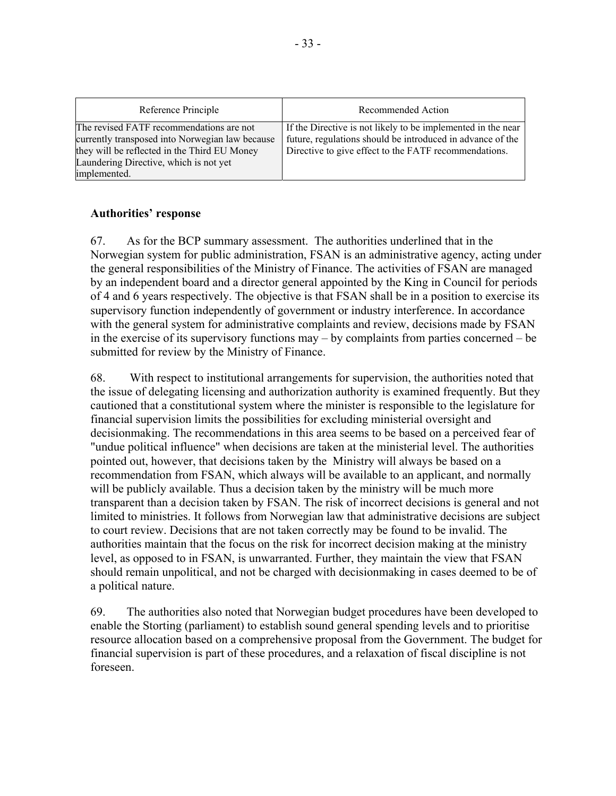| Reference Principle                                                                                                                                                                                   | Recommended Action                                                                                                                                                                  |
|-------------------------------------------------------------------------------------------------------------------------------------------------------------------------------------------------------|-------------------------------------------------------------------------------------------------------------------------------------------------------------------------------------|
| The revised FATF recommendations are not<br>currently transposed into Norwegian law because<br>they will be reflected in the Third EU Money<br>Laundering Directive, which is not yet<br>implemented. | If the Directive is not likely to be implemented in the near<br>future, regulations should be introduced in advance of the<br>Directive to give effect to the FATF recommendations. |

#### **Authorities' response**

67. As for the BCP summary assessment. The authorities underlined that in the Norwegian system for public administration, FSAN is an administrative agency, acting under the general responsibilities of the Ministry of Finance. The activities of FSAN are managed by an independent board and a director general appointed by the King in Council for periods of 4 and 6 years respectively. The objective is that FSAN shall be in a position to exercise its supervisory function independently of government or industry interference. In accordance with the general system for administrative complaints and review, decisions made by FSAN in the exercise of its supervisory functions may – by complaints from parties concerned – be submitted for review by the Ministry of Finance.

68. With respect to institutional arrangements for supervision, the authorities noted that the issue of delegating licensing and authorization authority is examined frequently. But they cautioned that a constitutional system where the minister is responsible to the legislature for financial supervision limits the possibilities for excluding ministerial oversight and decisionmaking. The recommendations in this area seems to be based on a perceived fear of "undue political influence" when decisions are taken at the ministerial level. The authorities pointed out, however, that decisions taken by the Ministry will always be based on a recommendation from FSAN, which always will be available to an applicant, and normally will be publicly available. Thus a decision taken by the ministry will be much more transparent than a decision taken by FSAN. The risk of incorrect decisions is general and not limited to ministries. It follows from Norwegian law that administrative decisions are subject to court review. Decisions that are not taken correctly may be found to be invalid. The authorities maintain that the focus on the risk for incorrect decision making at the ministry level, as opposed to in FSAN, is unwarranted. Further, they maintain the view that FSAN should remain unpolitical, and not be charged with decisionmaking in cases deemed to be of a political nature.

69. The authorities also noted that Norwegian budget procedures have been developed to enable the Storting (parliament) to establish sound general spending levels and to prioritise resource allocation based on a comprehensive proposal from the Government. The budget for financial supervision is part of these procedures, and a relaxation of fiscal discipline is not foreseen.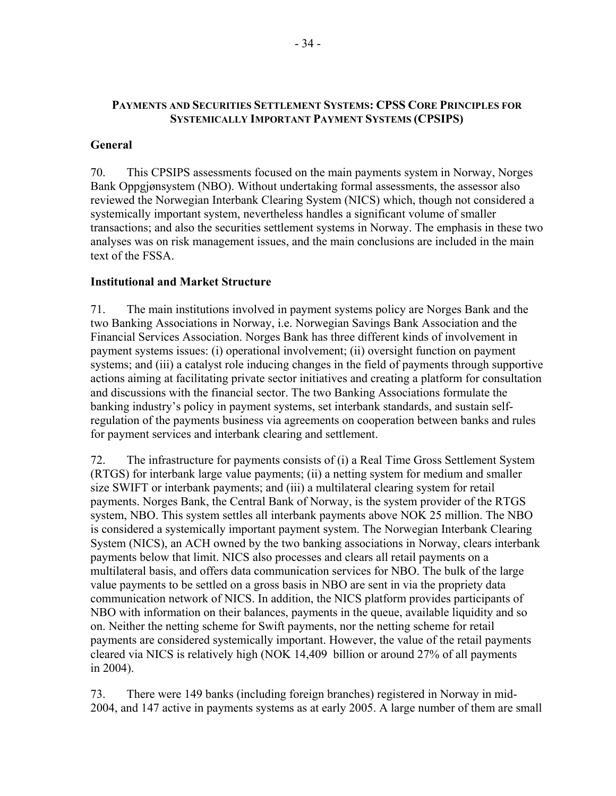## **PAYMENTS AND SECURITIES SETTLEMENT SYSTEMS: CPSS CORE PRINCIPLES FOR SYSTEMICALLY IMPORTANT PAYMENT SYSTEMS (CPSIPS)**

#### **General**

70. This CPSIPS assessments focused on the main payments system in Norway, Norges Bank Oppgjønsystem (NBO). Without undertaking formal assessments, the assessor also reviewed the Norwegian Interbank Clearing System (NICS) which, though not considered a systemically important system, nevertheless handles a significant volume of smaller transactions; and also the securities settlement systems in Norway. The emphasis in these two analyses was on risk management issues, and the main conclusions are included in the main text of the FSSA.

#### **Institutional and Market Structure**

71. The main institutions involved in payment systems policy are Norges Bank and the two Banking Associations in Norway, i.e. Norwegian Savings Bank Association and the Financial Services Association. Norges Bank has three different kinds of involvement in payment systems issues: (i) operational involvement; (ii) oversight function on payment systems; and (iii) a catalyst role inducing changes in the field of payments through supportive actions aiming at facilitating private sector initiatives and creating a platform for consultation and discussions with the financial sector. The two Banking Associations formulate the banking industry's policy in payment systems, set interbank standards, and sustain selfregulation of the payments business via agreements on cooperation between banks and rules for payment services and interbank clearing and settlement.

72. The infrastructure for payments consists of (i) a Real Time Gross Settlement System (RTGS) for interbank large value payments; (ii) a netting system for medium and smaller size SWIFT or interbank payments; and (iii) a multilateral clearing system for retail payments. Norges Bank, the Central Bank of Norway, is the system provider of the RTGS system, NBO. This system settles all interbank payments above NOK 25 million. The NBO is considered a systemically important payment system. The Norwegian Interbank Clearing System (NICS), an ACH owned by the two banking associations in Norway, clears interbank payments below that limit. NICS also processes and clears all retail payments on a multilateral basis, and offers data communication services for NBO. The bulk of the large value payments to be settled on a gross basis in NBO are sent in via the propriety data communication network of NICS. In addition, the NICS platform provides participants of NBO with information on their balances, payments in the queue, available liquidity and so on. Neither the netting scheme for Swift payments, nor the netting scheme for retail payments are considered systemically important. However, the value of the retail payments cleared via NICS is relatively high (NOK 14,409 billion or around 27% of all payments in 2004).

73. There were 149 banks (including foreign branches) registered in Norway in mid-2004, and 147 active in payments systems as at early 2005. A large number of them are small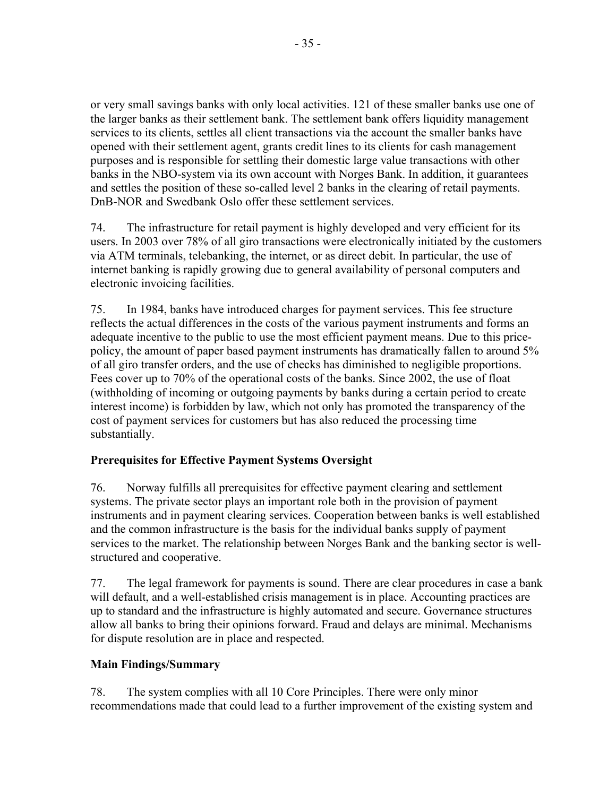or very small savings banks with only local activities. 121 of these smaller banks use one of the larger banks as their settlement bank. The settlement bank offers liquidity management services to its clients, settles all client transactions via the account the smaller banks have opened with their settlement agent, grants credit lines to its clients for cash management purposes and is responsible for settling their domestic large value transactions with other banks in the NBO-system via its own account with Norges Bank. In addition, it guarantees and settles the position of these so-called level 2 banks in the clearing of retail payments. DnB-NOR and Swedbank Oslo offer these settlement services.

74. The infrastructure for retail payment is highly developed and very efficient for its users. In 2003 over 78% of all giro transactions were electronically initiated by the customers via ATM terminals, telebanking, the internet, or as direct debit. In particular, the use of internet banking is rapidly growing due to general availability of personal computers and electronic invoicing facilities.

75. In 1984, banks have introduced charges for payment services. This fee structure reflects the actual differences in the costs of the various payment instruments and forms an adequate incentive to the public to use the most efficient payment means. Due to this pricepolicy, the amount of paper based payment instruments has dramatically fallen to around 5% of all giro transfer orders, and the use of checks has diminished to negligible proportions. Fees cover up to 70% of the operational costs of the banks. Since 2002, the use of float (withholding of incoming or outgoing payments by banks during a certain period to create interest income) is forbidden by law, which not only has promoted the transparency of the cost of payment services for customers but has also reduced the processing time substantially.

## **Prerequisites for Effective Payment Systems Oversight**

76. Norway fulfills all prerequisites for effective payment clearing and settlement systems. The private sector plays an important role both in the provision of payment instruments and in payment clearing services. Cooperation between banks is well established and the common infrastructure is the basis for the individual banks supply of payment services to the market. The relationship between Norges Bank and the banking sector is wellstructured and cooperative.

77. The legal framework for payments is sound. There are clear procedures in case a bank will default, and a well-established crisis management is in place. Accounting practices are up to standard and the infrastructure is highly automated and secure. Governance structures allow all banks to bring their opinions forward. Fraud and delays are minimal. Mechanisms for dispute resolution are in place and respected.

## **Main Findings/Summary**

78. The system complies with all 10 Core Principles. There were only minor recommendations made that could lead to a further improvement of the existing system and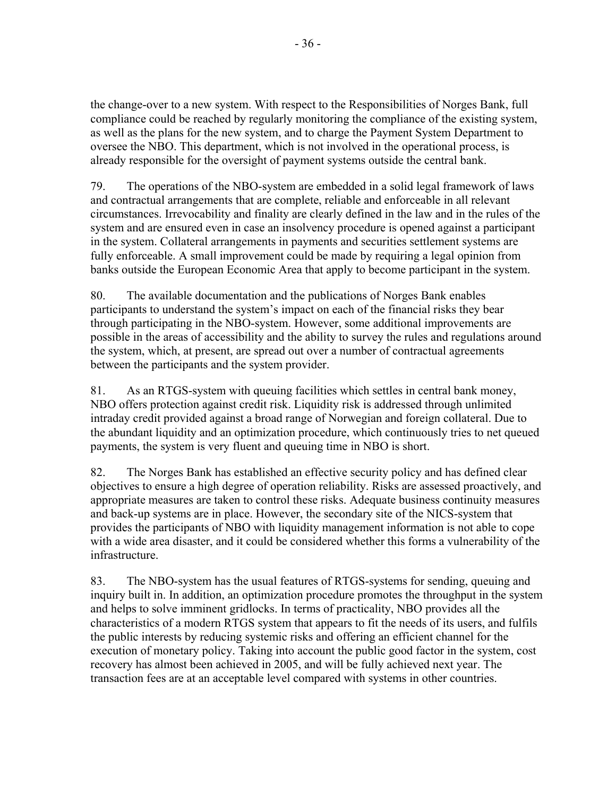the change-over to a new system. With respect to the Responsibilities of Norges Bank, full compliance could be reached by regularly monitoring the compliance of the existing system, as well as the plans for the new system, and to charge the Payment System Department to oversee the NBO. This department, which is not involved in the operational process, is already responsible for the oversight of payment systems outside the central bank.

79. The operations of the NBO-system are embedded in a solid legal framework of laws and contractual arrangements that are complete, reliable and enforceable in all relevant circumstances. Irrevocability and finality are clearly defined in the law and in the rules of the system and are ensured even in case an insolvency procedure is opened against a participant in the system. Collateral arrangements in payments and securities settlement systems are fully enforceable. A small improvement could be made by requiring a legal opinion from banks outside the European Economic Area that apply to become participant in the system.

80. The available documentation and the publications of Norges Bank enables participants to understand the system's impact on each of the financial risks they bear through participating in the NBO-system. However, some additional improvements are possible in the areas of accessibility and the ability to survey the rules and regulations around the system, which, at present, are spread out over a number of contractual agreements between the participants and the system provider.

81. As an RTGS-system with queuing facilities which settles in central bank money, NBO offers protection against credit risk. Liquidity risk is addressed through unlimited intraday credit provided against a broad range of Norwegian and foreign collateral. Due to the abundant liquidity and an optimization procedure, which continuously tries to net queued payments, the system is very fluent and queuing time in NBO is short.

82. The Norges Bank has established an effective security policy and has defined clear objectives to ensure a high degree of operation reliability. Risks are assessed proactively, and appropriate measures are taken to control these risks. Adequate business continuity measures and back-up systems are in place. However, the secondary site of the NICS-system that provides the participants of NBO with liquidity management information is not able to cope with a wide area disaster, and it could be considered whether this forms a vulnerability of the infrastructure.

83. The NBO-system has the usual features of RTGS-systems for sending, queuing and inquiry built in. In addition, an optimization procedure promotes the throughput in the system and helps to solve imminent gridlocks. In terms of practicality, NBO provides all the characteristics of a modern RTGS system that appears to fit the needs of its users, and fulfils the public interests by reducing systemic risks and offering an efficient channel for the execution of monetary policy. Taking into account the public good factor in the system, cost recovery has almost been achieved in 2005, and will be fully achieved next year. The transaction fees are at an acceptable level compared with systems in other countries.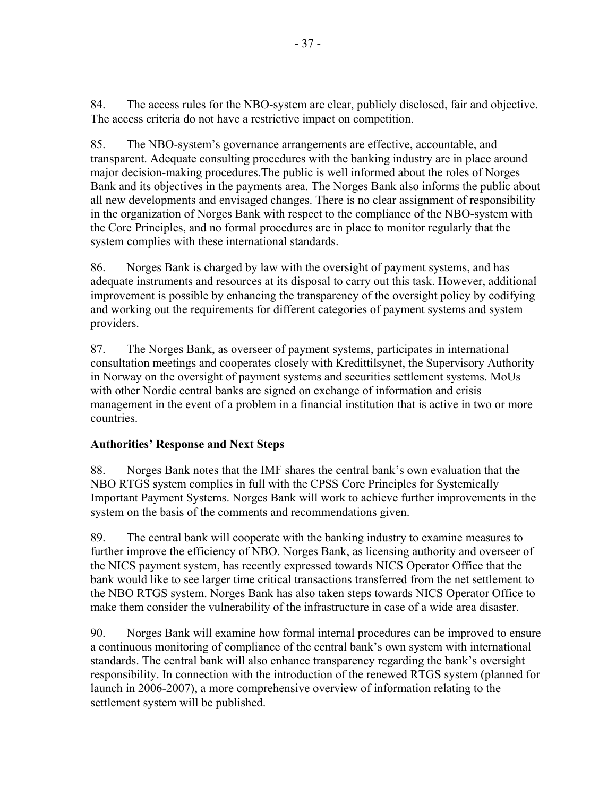84. The access rules for the NBO-system are clear, publicly disclosed, fair and objective. The access criteria do not have a restrictive impact on competition.

85. The NBO-system's governance arrangements are effective, accountable, and transparent. Adequate consulting procedures with the banking industry are in place around major decision-making procedures.The public is well informed about the roles of Norges Bank and its objectives in the payments area. The Norges Bank also informs the public about all new developments and envisaged changes. There is no clear assignment of responsibility in the organization of Norges Bank with respect to the compliance of the NBO-system with the Core Principles, and no formal procedures are in place to monitor regularly that the system complies with these international standards.

86. Norges Bank is charged by law with the oversight of payment systems, and has adequate instruments and resources at its disposal to carry out this task. However, additional improvement is possible by enhancing the transparency of the oversight policy by codifying and working out the requirements for different categories of payment systems and system providers.

87. The Norges Bank, as overseer of payment systems, participates in international consultation meetings and cooperates closely with Kredittilsynet, the Supervisory Authority in Norway on the oversight of payment systems and securities settlement systems. MoUs with other Nordic central banks are signed on exchange of information and crisis management in the event of a problem in a financial institution that is active in two or more countries.

## **Authorities' Response and Next Steps**

88. Norges Bank notes that the IMF shares the central bank's own evaluation that the NBO RTGS system complies in full with the CPSS Core Principles for Systemically Important Payment Systems. Norges Bank will work to achieve further improvements in the system on the basis of the comments and recommendations given.

89. The central bank will cooperate with the banking industry to examine measures to further improve the efficiency of NBO. Norges Bank, as licensing authority and overseer of the NICS payment system, has recently expressed towards NICS Operator Office that the bank would like to see larger time critical transactions transferred from the net settlement to the NBO RTGS system. Norges Bank has also taken steps towards NICS Operator Office to make them consider the vulnerability of the infrastructure in case of a wide area disaster.

90. Norges Bank will examine how formal internal procedures can be improved to ensure a continuous monitoring of compliance of the central bank's own system with international standards. The central bank will also enhance transparency regarding the bank's oversight responsibility. In connection with the introduction of the renewed RTGS system (planned for launch in 2006-2007), a more comprehensive overview of information relating to the settlement system will be published.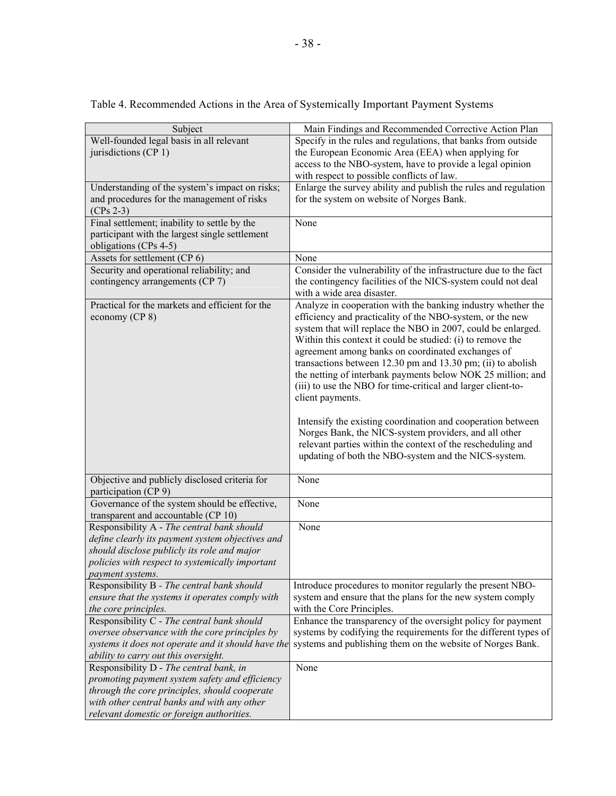| Subject                                            | Main Findings and Recommended Corrective Action Plan             |
|----------------------------------------------------|------------------------------------------------------------------|
| Well-founded legal basis in all relevant           | Specify in the rules and regulations, that banks from outside    |
| jurisdictions (CP 1)                               | the European Economic Area (EEA) when applying for               |
|                                                    | access to the NBO-system, have to provide a legal opinion        |
|                                                    | with respect to possible conflicts of law.                       |
| Understanding of the system's impact on risks;     | Enlarge the survey ability and publish the rules and regulation  |
| and procedures for the management of risks         | for the system on website of Norges Bank.                        |
| $(CPs 2-3)$                                        |                                                                  |
| Final settlement; inability to settle by the       | None                                                             |
| participant with the largest single settlement     |                                                                  |
| obligations (CPs 4-5)                              |                                                                  |
| Assets for settlement (CP 6)                       | None                                                             |
| Security and operational reliability; and          | Consider the vulnerability of the infrastructure due to the fact |
| contingency arrangements (CP 7)                    | the contingency facilities of the NICS-system could not deal     |
|                                                    | with a wide area disaster.                                       |
| Practical for the markets and efficient for the    | Analyze in cooperation with the banking industry whether the     |
| economy (CP 8)                                     | efficiency and practicality of the NBO-system, or the new        |
|                                                    | system that will replace the NBO in 2007, could be enlarged.     |
|                                                    | Within this context it could be studied: (i) to remove the       |
|                                                    | agreement among banks on coordinated exchanges of                |
|                                                    | transactions between 12.30 pm and 13.30 pm; (ii) to abolish      |
|                                                    | the netting of interbank payments below NOK 25 million; and      |
|                                                    | (iii) to use the NBO for time-critical and larger client-to-     |
|                                                    | client payments.                                                 |
|                                                    |                                                                  |
|                                                    | Intensify the existing coordination and cooperation between      |
|                                                    | Norges Bank, the NICS-system providers, and all other            |
|                                                    | relevant parties within the context of the rescheduling and      |
|                                                    | updating of both the NBO-system and the NICS-system.             |
|                                                    |                                                                  |
| Objective and publicly disclosed criteria for      | None                                                             |
| participation (CP 9)                               |                                                                  |
| Governance of the system should be effective,      | None                                                             |
| transparent and accountable (CP 10)                |                                                                  |
| Responsibility A - The central bank should         | None                                                             |
| define clearly its payment system objectives and   |                                                                  |
| should disclose publicly its role and major        |                                                                  |
| policies with respect to systemically important    |                                                                  |
| payment systems.                                   |                                                                  |
| Responsibility B - The central bank should         | Introduce procedures to monitor regularly the present NBO-       |
| ensure that the systems it operates comply with    | system and ensure that the plans for the new system comply       |
| the core principles.                               | with the Core Principles.                                        |
| Responsibility C - The central bank should         | Enhance the transparency of the oversight policy for payment     |
| oversee observance with the core principles by     | systems by codifying the requirements for the different types of |
| systems it does not operate and it should have the | systems and publishing them on the website of Norges Bank.       |
| ability to carry out this oversight.               |                                                                  |
| Responsibility D - The central bank, in            | None                                                             |
| promoting payment system safety and efficiency     |                                                                  |
| through the core principles, should cooperate      |                                                                  |
| with other central banks and with any other        |                                                                  |
| relevant domestic or foreign authorities.          |                                                                  |

Table 4. Recommended Actions in the Area of Systemically Important Payment Systems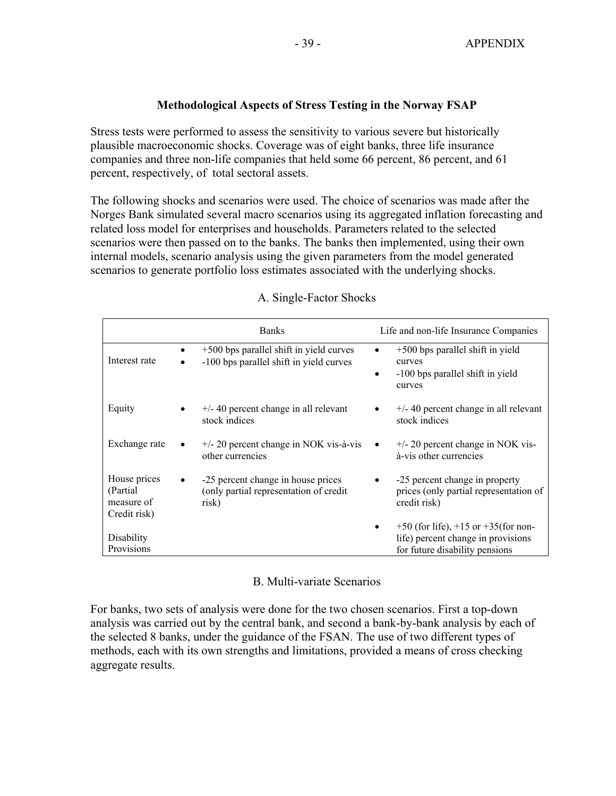#### **Methodological Aspects of Stress Testing in the Norway FSAP**

Stress tests were performed to assess the sensitivity to various severe but historically plausible macroeconomic shocks. Coverage was of eight banks, three life insurance companies and three non-life companies that held some 66 percent, 86 percent, and 61 percent, respectively, of total sectoral assets.

The following shocks and scenarios were used. The choice of scenarios was made after the Norges Bank simulated several macro scenarios using its aggregated inflation forecasting and related loss model for enterprises and households. Parameters related to the selected scenarios were then passed on to the banks. The banks then implemented, using their own internal models, scenario analysis using the given parameters from the model generated scenarios to generate portfolio loss estimates associated with the underlying shocks.

|                                                         | <b>Banks</b>                                                                          | Life and non-life Insurance Companies                                                                              |
|---------------------------------------------------------|---------------------------------------------------------------------------------------|--------------------------------------------------------------------------------------------------------------------|
| Interest rate                                           | +500 bps parallel shift in yield curves<br>-100 bps parallel shift in yield curves    | $+500$ bps parallel shift in yield<br>curves<br>-100 bps parallel shift in yield<br>curves                         |
| Equity                                                  | $+/- 40$ percent change in all relevant<br>stock indices                              | $+/- 40$ percent change in all relevant<br>stock indices                                                           |
| Exchange rate                                           | $+/- 20$ percent change in NOK vis-à-vis<br>other currencies                          | $+/- 20$ percent change in NOK vis-<br>à-vis other currencies                                                      |
| House prices<br>(Partial)<br>measure of<br>Credit risk) | -25 percent change in house prices<br>(only partial representation of credit<br>risk) | -25 percent change in property<br>prices (only partial representation of<br>credit risk)                           |
| Disability<br>Provisions                                |                                                                                       | $+50$ (for life), $+15$ or $+35$ (for non-<br>life) percent change in provisions<br>for future disability pensions |

#### A. Single-Factor Shocks

#### B. Multi-variate Scenarios

For banks, two sets of analysis were done for the two chosen scenarios. First a top-down analysis was carried out by the central bank, and second a bank-by-bank analysis by each of the selected 8 banks, under the guidance of the FSAN. The use of two different types of methods, each with its own strengths and limitations, provided a means of cross checking aggregate results.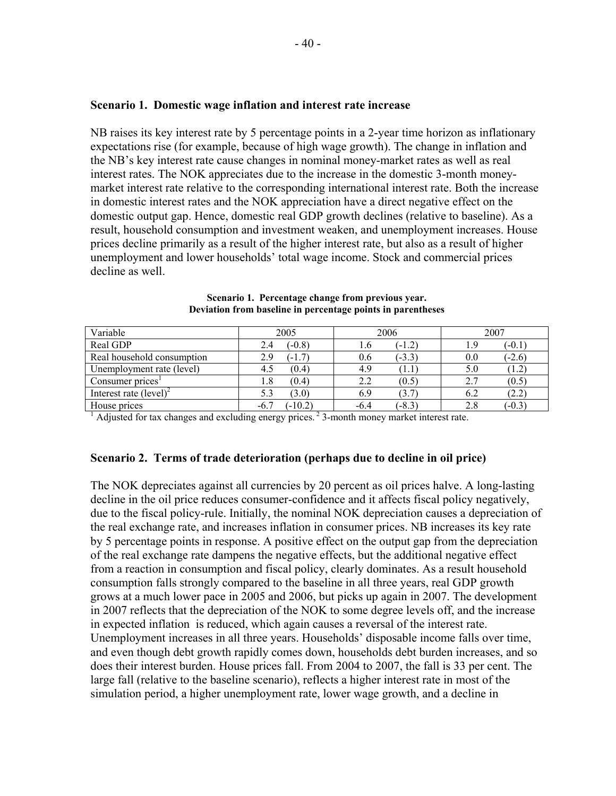#### **Scenario 1. Domestic wage inflation and interest rate increase**

NB raises its key interest rate by 5 percentage points in a 2-year time horizon as inflationary expectations rise (for example, because of high wage growth). The change in inflation and the NB's key interest rate cause changes in nominal money-market rates as well as real interest rates. The NOK appreciates due to the increase in the domestic 3-month moneymarket interest rate relative to the corresponding international interest rate. Both the increase in domestic interest rates and the NOK appreciation have a direct negative effect on the domestic output gap. Hence, domestic real GDP growth declines (relative to baseline). As a result, household consumption and investment weaken, and unemployment increases. House prices decline primarily as a result of the higher interest rate, but also as a result of higher unemployment and lower households' total wage income. Stock and commercial prices decline as well.

| Variable                         | 2005            | 2006             | 2007                            |
|----------------------------------|-----------------|------------------|---------------------------------|
| Real GDP                         | $(-0.8)$<br>2.4 | $(-1.2)$         | $-0.1$<br>1.9                   |
| Real household consumption       | $(-1.7)$        | $(-3.3)$<br>0.6  | $(-2.6)$<br>0.0                 |
| Unemployment rate (level)        | (0.4)           | (1.1<br>4.9      | $\left 1.2\right\rangle$<br>5.0 |
| Consumer prices'                 | (0.4)<br>1.8    | (0.5)<br>2.2     | (0.5)<br>2.7                    |
| Interest rate $(\text{level})^2$ | (3.0)           | (3.7)<br>6.9     | (2.2)<br>6.2                    |
| House prices                     | $-10.2$<br>-6.  | $(-8.3)$<br>-6.4 | $-0.3$<br>2.8                   |

**Scenario 1. Percentage change from previous year. Deviation from baseline in percentage points in parentheses** 

 $<sup>1</sup>$  Adjusted for tax changes and excluding energy prices.<sup>2</sup> 3-month money market interest rate.</sup>

#### **Scenario 2. Terms of trade deterioration (perhaps due to decline in oil price)**

The NOK depreciates against all currencies by 20 percent as oil prices halve. A long-lasting decline in the oil price reduces consumer-confidence and it affects fiscal policy negatively, due to the fiscal policy-rule. Initially, the nominal NOK depreciation causes a depreciation of the real exchange rate, and increases inflation in consumer prices. NB increases its key rate by 5 percentage points in response. A positive effect on the output gap from the depreciation of the real exchange rate dampens the negative effects, but the additional negative effect from a reaction in consumption and fiscal policy, clearly dominates. As a result household consumption falls strongly compared to the baseline in all three years, real GDP growth grows at a much lower pace in 2005 and 2006, but picks up again in 2007. The development in 2007 reflects that the depreciation of the NOK to some degree levels off, and the increase in expected inflation is reduced, which again causes a reversal of the interest rate. Unemployment increases in all three years. Households' disposable income falls over time, and even though debt growth rapidly comes down, households debt burden increases, and so does their interest burden. House prices fall. From 2004 to 2007, the fall is 33 per cent. The large fall (relative to the baseline scenario), reflects a higher interest rate in most of the simulation period, a higher unemployment rate, lower wage growth, and a decline in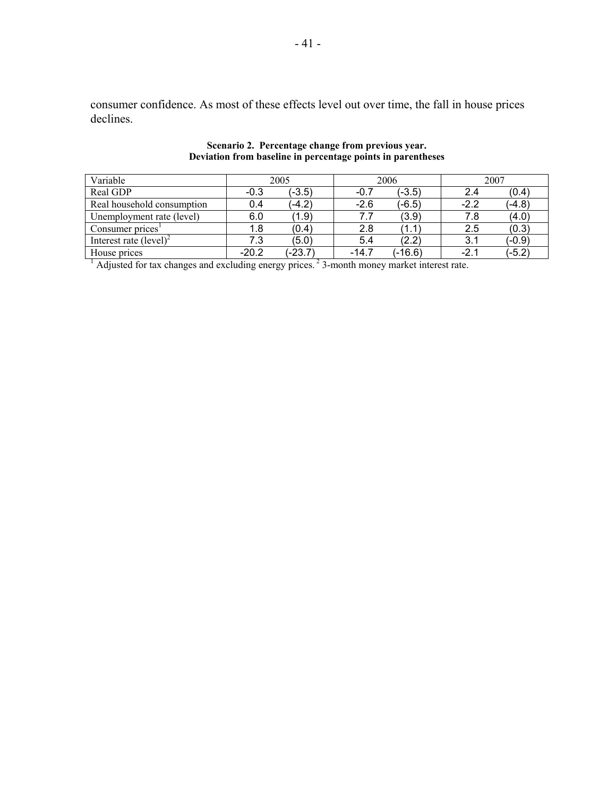consumer confidence. As most of these effects level out over time, the fall in house prices declines.

| Variable                                                                                               |         | 2005      |         | 2006     |        | 2007     |
|--------------------------------------------------------------------------------------------------------|---------|-----------|---------|----------|--------|----------|
| Real GDP                                                                                               | $-0.3$  | $(-3.5)$  | $-0.7$  | (-3.5)   | 2.4    | (0.4)    |
| Real household consumption                                                                             | 0.4     | (-4.2)    | $-2.6$  | $(-6.5)$ | $-2.2$ | $(-4.8)$ |
| Unemployment rate (level)                                                                              | 6.0     | (1.9)     | 7.7     | (3.9)    | 7.8    | (4.0)    |
| Consumer prices <sup>1</sup>                                                                           | 1.8     | (0.4)     | 2.8     | (1.1)    | 2.5    | (0.3)    |
| Interest rate $(\text{level})^2$                                                                       | 7.3     | (5.0)     | 5.4     | (2.2)    | 3.1    | $(-0.9)$ |
| House prices                                                                                           | $-20.2$ | $(-23.7)$ | $-14.7$ | (-16.6)  | $-2.1$ | $(-5.2)$ |
| Adjusted for tax changes and excluding energy prices. <sup>2</sup> 3-month money market interest rate. |         |           |         |          |        |          |

#### **Scenario 2. Percentage change from previous year. Deviation from baseline in percentage points in parentheses**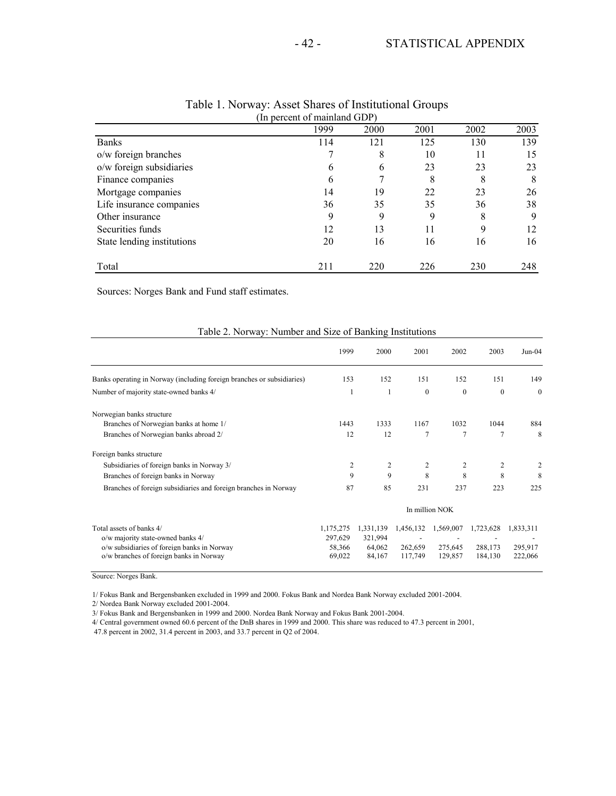|                            | 1999 | 2000 | 2001 | 2002 | 2003 |
|----------------------------|------|------|------|------|------|
| <b>Banks</b>               | 114  | 121  | 125  | 130  | 139  |
| o/w foreign branches       |      | 8    | 10   | 11   | 15   |
| o/w foreign subsidiaries   | 6    | 6    | 23   | 23   | 23   |
| Finance companies          | 6    | 7    | 8    | 8    | 8    |
| Mortgage companies         | 14   | 19   | 22   | 23   | 26   |
| Life insurance companies   | 36   | 35   | 35   | 36   | 38   |
| Other insurance            | 9    | 9    | 9    | 8    | 9    |
| Securities funds           | 12   | 13   | 11   | 9    | 12   |
| State lending institutions | 20   | 16   | 16   | 16   | 16   |
| Total                      | 211  | 220  | 226  | 230  | 248  |

#### Table 1. Norway: Asset Shares of Institutional Groups (In percent of mainland GDP)

Sources: Norges Bank and Fund staff estimates.

| Table 2. Norway: Number and Size of Banking Institutions               |                      |                      |              |                |           |                |
|------------------------------------------------------------------------|----------------------|----------------------|--------------|----------------|-----------|----------------|
|                                                                        | 1999                 | 2000                 | 2001         | 2002           | 2003      | $Jun-04$       |
| Banks operating in Norway (including foreign branches or subsidiaries) | 153                  | 152                  | 151          | 152            | 151       | 149            |
| Number of majority state-owned banks 4/                                | 1                    | 1                    | $\mathbf{0}$ | $\mathbf{0}$   | $\theta$  | $\theta$       |
| Norwegian banks structure                                              |                      |                      |              |                |           |                |
| Branches of Norwegian banks at home 1/                                 | 1443                 | 1333                 | 1167         | 1032           | 1044      | 884            |
| Branches of Norwegian banks abroad 2/                                  | 12                   | 12                   | 7            | 7              | 7         | 8              |
| Foreign banks structure                                                |                      |                      |              |                |           |                |
| Subsidiaries of foreign banks in Norway 3/                             | 2                    | 2                    | 2            | 2              | 2         | $\overline{2}$ |
| Branches of foreign banks in Norway                                    | 9                    | 9                    | 8            | 8              | 8         | 8              |
| Branches of foreign subsidiaries and foreign branches in Norway        | 87                   | 85                   | 231          | 237            | 223       | 225            |
|                                                                        |                      |                      |              | In million NOK |           |                |
| Total assets of banks 4/<br>o/w majority state-owned banks 4/          | 1,175,275<br>297,629 | 1,331,139<br>321,994 | 1,456,132    | 1,569,007      | 1,723,628 | 1,833,311      |
| o/w subsidiaries of foreign banks in Norway                            | 58,366               | 64,062               | 262,659      | 275,645        | 288,173   | 295,917        |
| o/w branches of foreign banks in Norway                                | 69,022               | 84,167               | 117,749      | 129,857        | 184,130   | 222,066        |

Source: Norges Bank.

1/ Fokus Bank and Bergensbanken excluded in 1999 and 2000. Fokus Bank and Nordea Bank Norway excluded 2001-2004.

2/ Nordea Bank Norway excluded 2001-2004.

3/ Fokus Bank and Bergensbanken in 1999 and 2000. Nordea Bank Norway and Fokus Bank 2001-2004.

4/ Central government owned 60.6 percent of the DnB shares in 1999 and 2000. This share was reduced to 47.3 percent in 2001,

47.8 percent in 2002, 31.4 percent in 2003, and 33.7 percent in Q2 of 2004.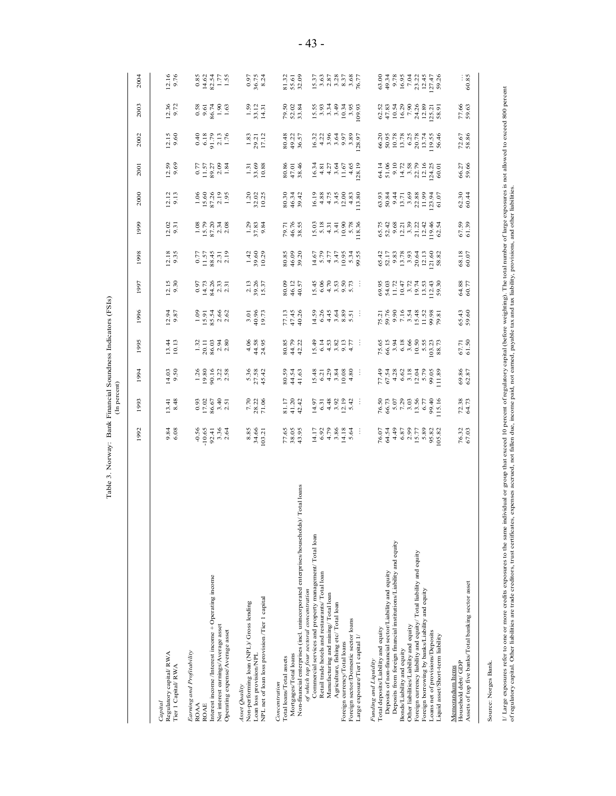Table 3. Norway: Bank Financial Soundness Indicators (FSIs)<br>(In percent)

|                                                                                                                                                                                                                                                                                                                                                                                                                                                                     | 1992                                                        | 1993                                                                                              | 1994                                                                                                                                                                                                                                                                 | 1995                                                                                            | 1996                                                   | 1997                                                                              | 1998                                                                                                                         | 1999                                                                | 2000                                           | 2001                                                                                                                                                                                                                                                                           | 2002                                                                                   | 2003                                                                                                                                                                                            | 2004                                                                                     |
|---------------------------------------------------------------------------------------------------------------------------------------------------------------------------------------------------------------------------------------------------------------------------------------------------------------------------------------------------------------------------------------------------------------------------------------------------------------------|-------------------------------------------------------------|---------------------------------------------------------------------------------------------------|----------------------------------------------------------------------------------------------------------------------------------------------------------------------------------------------------------------------------------------------------------------------|-------------------------------------------------------------------------------------------------|--------------------------------------------------------|-----------------------------------------------------------------------------------|------------------------------------------------------------------------------------------------------------------------------|---------------------------------------------------------------------|------------------------------------------------|--------------------------------------------------------------------------------------------------------------------------------------------------------------------------------------------------------------------------------------------------------------------------------|----------------------------------------------------------------------------------------|-------------------------------------------------------------------------------------------------------------------------------------------------------------------------------------------------|------------------------------------------------------------------------------------------|
| Regulatory capital/RWA<br>Tier 1 Capital/ RWA<br>Capital                                                                                                                                                                                                                                                                                                                                                                                                            | 9.84<br>6.08                                                | 13.41<br>8.48                                                                                     | $\frac{14.03}{9.50}$                                                                                                                                                                                                                                                 | 13.44<br>10.13                                                                                  | 12.94<br>9.87                                          | $\frac{12.15}{9.30}$                                                              | $12.18$<br>9.35                                                                                                              | $\frac{12.02}{9.31}$                                                | 12.12                                          | $12.59$<br>9.69                                                                                                                                                                                                                                                                | $\frac{12.15}{9.60}$                                                                   | 12.36                                                                                                                                                                                           | 12.16<br>9.76                                                                            |
| Interest income /Interest income + Operating income<br>Net interest earnings/Average asset<br>Operating expense/Average asset<br>Earning and Profitability<br><b>ROAA</b><br>ROAE                                                                                                                                                                                                                                                                                   | $3.36$<br>2.64<br>$-0.56$<br>$-10.65$<br>92.41              | $\begin{array}{c} 0.93 \\ 17.02 \\ 86.67 \\ 3.40 \\ 2.51 \end{array}$                             | $1.38$<br>$1.9$ , $-3$ , $-3$ , $-3$ , $-3$ , $-3$ , $-3$ , $-3$ , $-3$ , $-3$ , $-3$ , $-3$ , $-3$ , $-3$ , $-3$ , $-3$ , $-3$ , $-3$ , $-3$ , $-3$ , $-3$ , $-3$ , $-3$ , $-3$ , $-3$ , $-3$ , $-3$ , $-3$ , $-3$ , $-3$ , $-3$ , $-3$ , $-3$ , $-3$ , $-3$ , $-3$ | $1.32$<br>$2.6$<br>$2.8$<br>$2.8$<br>$2.8$<br>$2.8$                                             |                                                        | 0.57 36 37<br>이 구성 37 31<br>이 구성 21 3                                             | $0.77$<br>11.57<br>11.88 2.19                                                                                                | $\begin{array}{c} 1.08 \\ 1.57 \\ 2.34 \\ 2.36 \\ 2.38 \end{array}$ | $1.66$<br>$1.58$<br>$2.39$<br>$1.95$<br>$1.95$ | $0.77$<br>$-5.70$<br>$-5.70$<br>$-1.57$<br>$-1.57$<br>$-1.57$                                                                                                                                                                                                                  | $0.88$<br>$0.82$<br>$0.72$<br>$0.76$<br>$0.72$                                         | $0.58$<br>9.61<br>86.74<br>1.90<br>1.63                                                                                                                                                         | $0.85$<br>$0.427$<br>$0.427$<br>$0.55$<br>$0.55$<br>$0.55$                               |
| NPL net of loan loss provision /Tier 1 capital<br>Non-performing loan (NPL)/ Gross lending<br>Loan loss provision/NPL<br>Asset Quality                                                                                                                                                                                                                                                                                                                              | 8.85<br>34.66<br>103.21                                     | 7.70<br>28.22<br>71.06                                                                            | 5.36<br>27.58<br>45.42                                                                                                                                                                                                                                               | 4.06<br>44.58<br>24.95                                                                          | $\begin{array}{c} 3.01 \\ 40.96 \\ 19.73 \end{array}$  | 2.13<br>39.26<br>15.37                                                            | $\frac{142}{39.29}$                                                                                                          | $\frac{1.29}{37.83}$                                                | $\frac{1.20}{32.02}$                           | $\frac{1.31}{33.69}$                                                                                                                                                                                                                                                           | $\frac{1.83}{29.21}$                                                                   | $\frac{1.59}{33.131}$                                                                                                                                                                           | 0.97<br>36.75<br>8.24                                                                    |
| Total loans<br>Non-financial enterprises (incl. unincorporated enterprises/households)/<br>of which top four sectoral concentration<br>Mortgages/Total loans<br>Total loans/Total assets<br>Concentration                                                                                                                                                                                                                                                           | 77.65<br>38.05<br>43.95                                     | 81.17<br>41.20<br>42.42                                                                           | 80.59<br>44.54<br>41.63                                                                                                                                                                                                                                              | 80.85<br>44.79<br>42.22                                                                         | 40.26<br>$77.13$<br>47.45                              | 46.12<br>40.57<br>80.09                                                           | 80.85<br>46.09<br>39.20                                                                                                      | 79.71<br>46.76<br>38.55                                             | 80.30<br>46.34<br>39.42                        | 80.86<br>47.01<br>38.46                                                                                                                                                                                                                                                        | 80.48<br>49.22<br>36.57                                                                | 79.50<br>52.02<br>33.84                                                                                                                                                                         | 81.32<br>55.61<br>32.09                                                                  |
| Commercial services and property management/ Total loan<br>Retail trade hotels and restaurants/ Total loan<br>Manufacturing and mining/Total loan<br>Agriculture, fishing etc/ Total loan<br>Foreign sector/Domestic sector loans<br>Large exposure/Tier1 capital 1/<br>Foreign currency/Total loans                                                                                                                                                                | 17<br>1978<br>1981<br>1981                                  | $\begin{array}{c} 48 \\ 49 \\ 19 \\ 24 \\ 39 \\ 49 \\ 24 \\ 54 \\ 6 \end{array}$<br>14.97<br>6.31 | $\begin{array}{l} 15.48 \\ 6.21 \\ 6.39 \\ 4.38 \\ 10.88 \\ 4.69 \\ \end{array}$                                                                                                                                                                                     | 6.14<br>$3877$<br>$4997$<br>$-5.49$                                                             | 14.59<br>6.26<br>$4885$<br>$4885$                      | 15.45<br>6.06<br>÷                                                                | 1<br>1977 1984<br>1984 1998                                                                                                  | 15.03<br>5.13 4.13 5.78<br>4.14 5.78<br>5.18 5.18                   | $1987488$<br>$-449748$<br>$-44974$<br>13.80    | $\begin{array}{c}\n16.34 \\ 16.37 \\ 17.56 \\ 18.1 \\ 19.67 \\ 19.81 \\ 10.8\n\end{array}$                                                                                                                                                                                     | $\begin{array}{l} 16.32 \\ 4.24 \\ 3.96 \\ 4.97 \\ 5.97 \\ 9.98 \\ 128.97 \end{array}$ |                                                                                                                                                                                                 | $\begin{array}{l} 15.37 \\ 15.63 \\ 2.87 \\ 2.38 \\ 3.39 \\ 8.37 \\ 6.77 \\ \end{array}$ |
| Deposits from foreign financial institutions/Liability and equity<br>Foreign currency liability and equity/ Total liability and equity<br>Deposits of non-financial sector/Liability and equity<br>Foreign borrowing by banks/Liability and equity<br>Other liabilities/Liability and equity<br>Total deposits/Liability and equity<br>Loans net of provisions/Deposits<br>Liquid asset/Short-term liability<br>Bonds/Liability and equity<br>Funding and Liquidity | 0.87<br>0.977<br>0.9882<br>0.9999<br>4.49<br>76.07<br>64.54 | 16.50<br>66.73.93.67<br>66.73.97<br>69.73.97                                                      | $7.5488888788881$<br>$7.5488888888$<br>$7.54698888$<br>$1.56988$                                                                                                                                                                                                     | $75.65$<br>$66.15$<br>$66.34$<br>$66.50$<br>$66.50$<br>$66.73$<br>$66.50$<br>$66.73$<br>$68.73$ | 75.21<br>59.76<br>9.90<br>153888<br>5348888<br>7548888 | 995<br>995727<br>995727<br>$\begin{array}{c} 13.53 \\ 12.43 \\ 59.30 \end{array}$ | 13.78<br>65.42<br>52.17<br>9.83<br>20.64<br>21.13<br>21.58.82                                                                |                                                                     | 33475989350<br>59575989350                     | $\begin{array}{cccc}\n6.14 & 0.00 & 0.00 & 0.00 & 0.00 & 0.00 & 0.00 & 0.00 & 0.00 & 0.00 & 0.00 & 0.00 & 0.00 & 0.00 & 0.00 & 0.00 & 0.00 & 0.00 & 0.00 & 0.00 & 0.00 & 0.00 & 0.00 & 0.00 & 0.00 & 0.00 & 0.00 & 0.00 & 0.00 & 0.00 & 0.00 & 0.00 & 0.00 & 0.00 & 0.00 & 0.$ |                                                                                        | $61.53\n61.53\n62.54\n7.53\n7.53\n8.51\n8.51\n8.51\n8.52\n8.53\n8.54\n8.55\n8.56\n8.57\n8.59\n8.59\n8.50\n8.51\n8.52\n8.54\n8.55\n8.56\n8.59\n8.59\n8.50\n8.51\n8.52\n8.53\n8.54\n8.55\n8.56\n$ | $49.58$ $69.54$ $79.74$<br>$79.54$ $79.74$<br>$79.74$<br>$79.26$<br>63.00                |
| Assets of top five banks/Total banking sector asset<br>Household debt/ GDP<br>Memorandum Items                                                                                                                                                                                                                                                                                                                                                                      | 76.32<br>67.03                                              | 72.38<br>64.73                                                                                    | $69.86$<br>$62.87$                                                                                                                                                                                                                                                   | 67.71<br>61.50                                                                                  | 65.43                                                  | $64.88$<br>$60.77$                                                                | $68.18$<br>$60.07$                                                                                                           | 67.59<br>61.39                                                      | $62.30$<br>$60.44$                             | 66.27<br>59.66                                                                                                                                                                                                                                                                 | 72.67<br>58.86                                                                         | 77.66<br>59.63                                                                                                                                                                                  | 60.85                                                                                    |
| $1/$ Large exposures refer to one or more credits exposures to the same individual or group that exceed 10 percent of regulatory capital (before weighting). The total number of large exposures is not allowed to exceed 800<br>of regulatory capital. Other liabilities are trade creditors, trust certificates,<br>Source: Norges Bank.                                                                                                                          |                                                             |                                                                                                   |                                                                                                                                                                                                                                                                      |                                                                                                 |                                                        |                                                                                   | expenses accrued, not fallen due, income paid, not earned, payable tax and tax liability, provisions, and other liabilities. |                                                                     |                                                |                                                                                                                                                                                                                                                                                |                                                                                        |                                                                                                                                                                                                 |                                                                                          |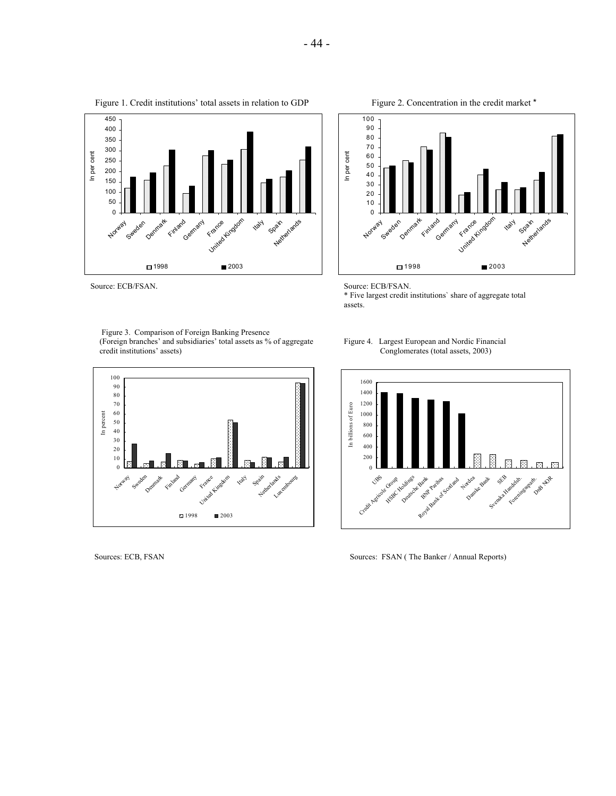Figure 1. Credit institutions' total assets in relation to GDP Figure 2. Concentration in the credit market \*



Source: ECB/FSAN. Source: ECB/FSAN.





 \* Five largest credit institutions` share of aggregate total assets.

 Figure 3. Comparison of Foreign Banking Presence (Foreign branches' and subsidiaries' total assets as % of aggregate Figure 4. Largest European and Nordic Financial credit institutions' assets) Conglomerates (total assets, 2003)



Conglomerates (total assets, 2003)



Sources: ECB, FSAN Sources: FSAN (The Banker / Annual Reports)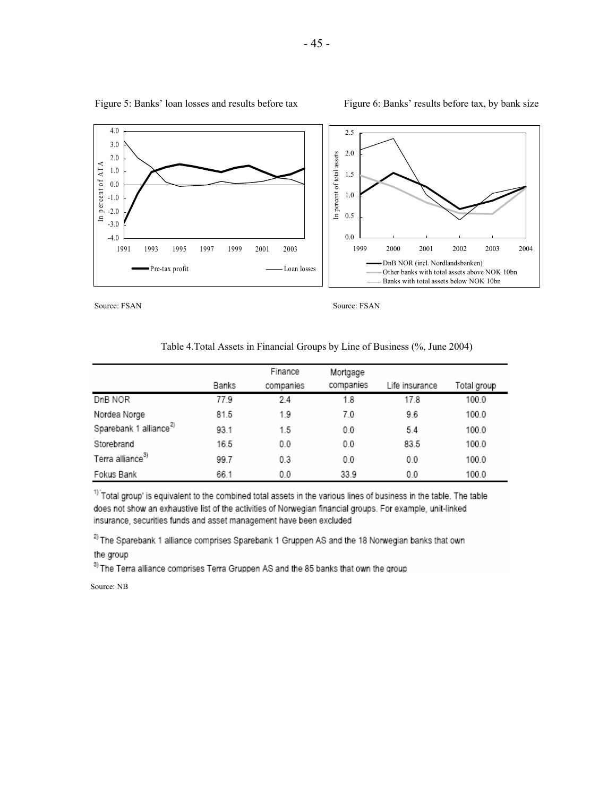

Source: FSAN Source: FSAN

|                                    | Banks | Finance<br>companies | Mortgage<br>companies | Life insurance | Total group |
|------------------------------------|-------|----------------------|-----------------------|----------------|-------------|
| DnB NOR                            | 77.9  | 2.4                  | 1.8                   | 17.8           | 100.0       |
| Nordea Norge                       | 81.5  | 1.9                  | 7.0                   | 9.6            | 100.0       |
| Sparebank 1 alliance <sup>2)</sup> | 93.1  | 1.5                  | 0.0                   | 5.4            | 100.0       |
| Storebrand                         | 16.5  | 0.0                  | 0.0                   | 83.5           | 100.0       |
| Terra alliance <sup>3)</sup>       | 99.7  | 0.3                  | 0.0                   | 0.0            | 100.0       |
| Fokus Bank                         | 66.1  | 0.0                  | 33.9                  | 0.0            | 100.0       |

#### Table 4.Total Assets in Financial Groups by Line of Business (%, June 2004)

<sup>1)</sup> Total group' is equivalent to the combined total assets in the various lines of business in the table. The table does not show an exhaustive list of the activities of Norwegian financial groups. For example, unit-linked insurance, securities funds and asset management have been excluded

<sup>2)</sup> The Sparebank 1 alliance comprises Sparebank 1 Gruppen AS and the 18 Norwegian banks that own

the group

<sup>3)</sup> The Terra alliance comprises Terra Gruppen AS and the 85 banks that own the group

Source: NB

#### Figure 5: Banks' loan losses and results before tax Figure 6: Banks' results before tax, by bank size